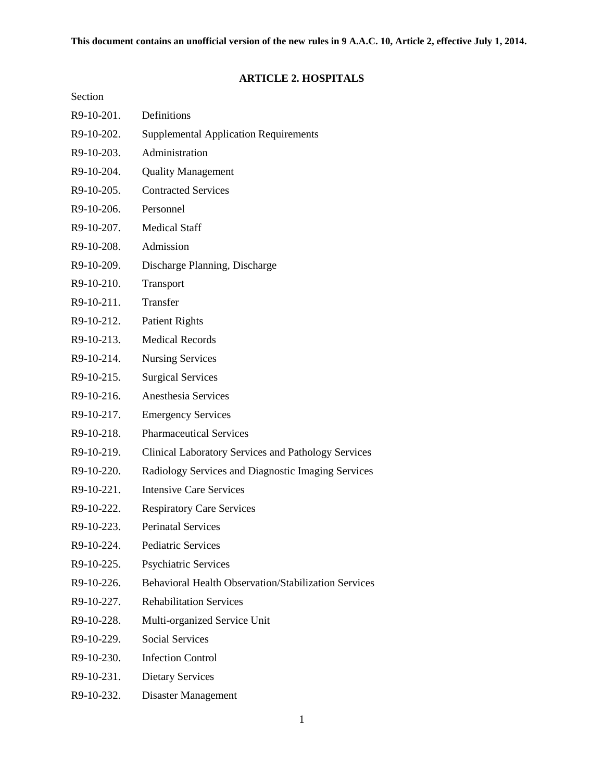# **ARTICLE 2. HOSPITALS**

# Section

| R9-10-201. | Definitions                                                |
|------------|------------------------------------------------------------|
| R9-10-202. | <b>Supplemental Application Requirements</b>               |
| R9-10-203. | Administration                                             |
| R9-10-204. | <b>Quality Management</b>                                  |
| R9-10-205. | <b>Contracted Services</b>                                 |
| R9-10-206. | Personnel                                                  |
| R9-10-207. | <b>Medical Staff</b>                                       |
| R9-10-208. | Admission                                                  |
| R9-10-209. | Discharge Planning, Discharge                              |
| R9-10-210. | Transport                                                  |
| R9-10-211. | Transfer                                                   |
| R9-10-212. | <b>Patient Rights</b>                                      |
| R9-10-213. | <b>Medical Records</b>                                     |
| R9-10-214. | <b>Nursing Services</b>                                    |
| R9-10-215. | <b>Surgical Services</b>                                   |
| R9-10-216. | Anesthesia Services                                        |
| R9-10-217. | <b>Emergency Services</b>                                  |
| R9-10-218. | <b>Pharmaceutical Services</b>                             |
| R9-10-219. | <b>Clinical Laboratory Services and Pathology Services</b> |
| R9-10-220. | Radiology Services and Diagnostic Imaging Services         |
| R9-10-221. | <b>Intensive Care Services</b>                             |
| R9-10-222. | <b>Respiratory Care Services</b>                           |
| R9-10-223. | <b>Perinatal Services</b>                                  |
| R9-10-224. | <b>Pediatric Services</b>                                  |
| R9-10-225. | <b>Psychiatric Services</b>                                |
| R9-10-226. | Behavioral Health Observation/Stabilization Services       |
| R9-10-227. | <b>Rehabilitation Services</b>                             |
| R9-10-228. | Multi-organized Service Unit                               |
| R9-10-229. | <b>Social Services</b>                                     |
| R9-10-230. | <b>Infection Control</b>                                   |
| R9-10-231. | <b>Dietary Services</b>                                    |
| R9-10-232. | Disaster Management                                        |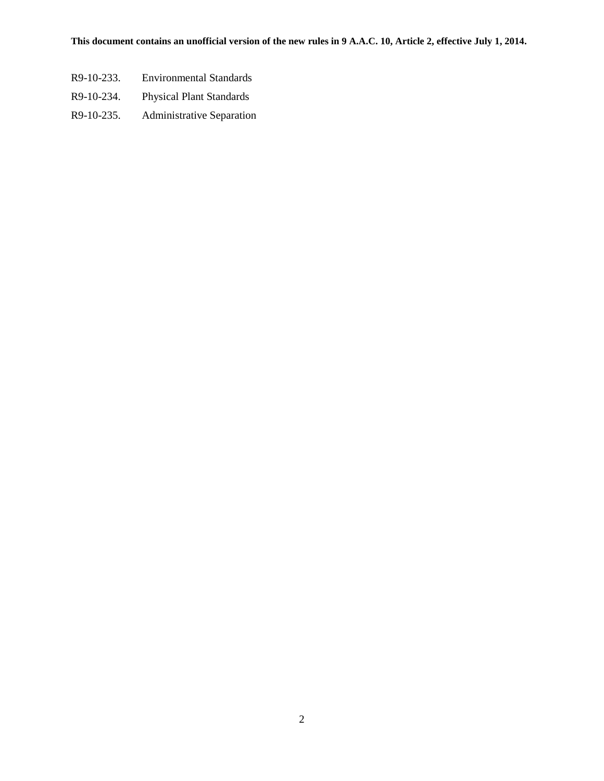- R9-10-233. Environmental Standards
- R9-10-234. Physical Plant Standards
- R9-10-235. Administrative Separation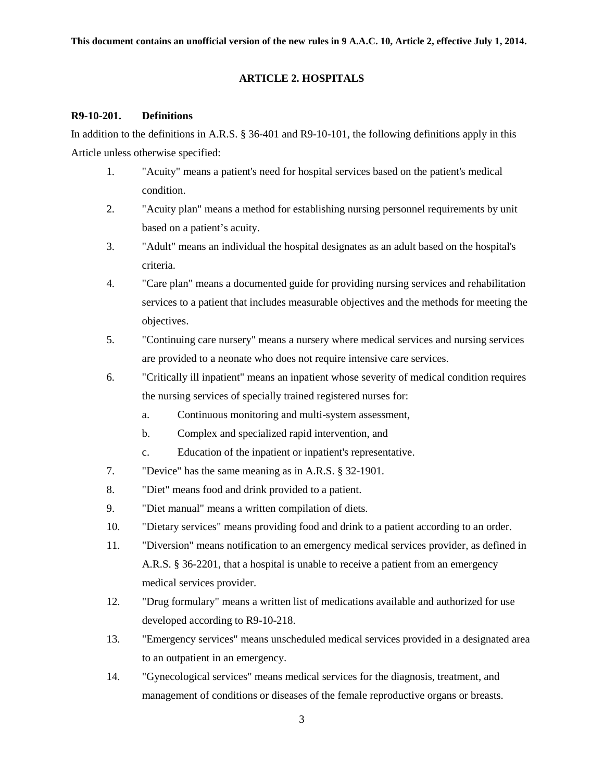#### **ARTICLE 2. HOSPITALS**

#### **R9-10-201. Definitions**

In addition to the definitions in A.R.S. § 36-401 and R9-10-101, the following definitions apply in this Article unless otherwise specified:

- 1. "Acuity" means a patient's need for hospital services based on the patient's medical condition.
- 2. "Acuity plan" means a method for establishing nursing personnel requirements by unit based on a patient's acuity.
- 3. "Adult" means an individual the hospital designates as an adult based on the hospital's criteria.
- 4. "Care plan" means a documented guide for providing nursing services and rehabilitation services to a patient that includes measurable objectives and the methods for meeting the objectives.
- 5. "Continuing care nursery" means a nursery where medical services and nursing services are provided to a neonate who does not require intensive care services.
- 6. "Critically ill inpatient" means an inpatient whose severity of medical condition requires the nursing services of specially trained registered nurses for:
	- a. Continuous monitoring and multi-system assessment,
	- b. Complex and specialized rapid intervention, and
	- c. Education of the inpatient or inpatient's representative.
- 7. "Device" has the same meaning as in A.R.S. § 32-1901.
- 8. "Diet" means food and drink provided to a patient.
- 9. "Diet manual" means a written compilation of diets.
- 10. "Dietary services" means providing food and drink to a patient according to an order.
- 11. "Diversion" means notification to an emergency medical services provider, as defined in A.R.S. § 36-2201, that a hospital is unable to receive a patient from an emergency medical services provider.
- 12. "Drug formulary" means a written list of medications available and authorized for use developed according to R9-10-218.
- 13. "Emergency services" means unscheduled medical services provided in a designated area to an outpatient in an emergency.
- 14. "Gynecological services" means medical services for the diagnosis, treatment, and management of conditions or diseases of the female reproductive organs or breasts.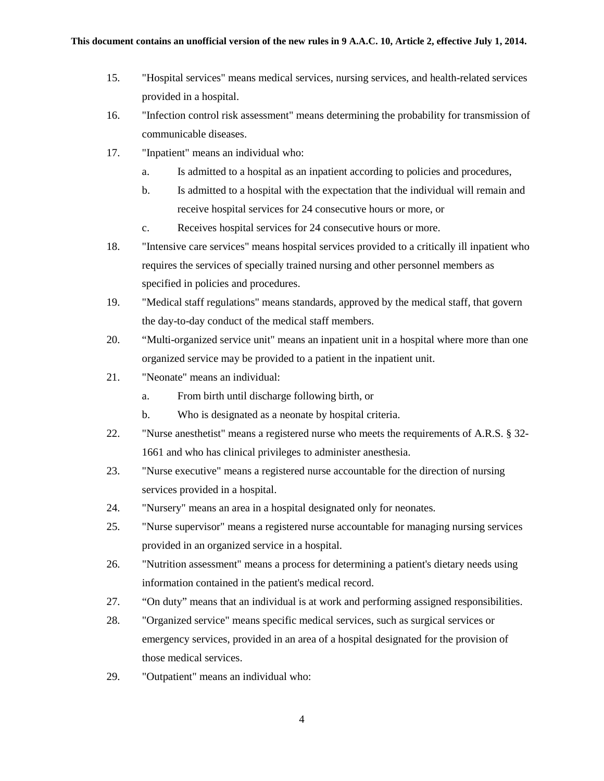- 15. "Hospital services" means medical services, nursing services, and health-related services provided in a hospital.
- 16. "Infection control risk assessment" means determining the probability for transmission of communicable diseases.
- 17. "Inpatient" means an individual who:
	- a. Is admitted to a hospital as an inpatient according to policies and procedures,
	- b. Is admitted to a hospital with the expectation that the individual will remain and receive hospital services for 24 consecutive hours or more, or
	- c. Receives hospital services for 24 consecutive hours or more.
- 18. "Intensive care services" means hospital services provided to a critically ill inpatient who requires the services of specially trained nursing and other personnel members as specified in policies and procedures.
- 19. "Medical staff regulations" means standards, approved by the medical staff, that govern the day-to-day conduct of the medical staff members.
- 20. "Multi-organized service unit" means an inpatient unit in a hospital where more than one organized service may be provided to a patient in the inpatient unit.
- 21. "Neonate" means an individual:
	- a. From birth until discharge following birth, or
	- b. Who is designated as a neonate by hospital criteria.
- 22. "Nurse anesthetist" means a registered nurse who meets the requirements of A.R.S. § 32- 1661 and who has clinical privileges to administer anesthesia.
- 23. "Nurse executive" means a registered nurse accountable for the direction of nursing services provided in a hospital.
- 24. "Nursery" means an area in a hospital designated only for neonates.
- 25. "Nurse supervisor" means a registered nurse accountable for managing nursing services provided in an organized service in a hospital.
- 26. "Nutrition assessment" means a process for determining a patient's dietary needs using information contained in the patient's medical record.
- 27. "On duty" means that an individual is at work and performing assigned responsibilities.
- 28. "Organized service" means specific medical services, such as surgical services or emergency services, provided in an area of a hospital designated for the provision of those medical services.
- 29. "Outpatient" means an individual who: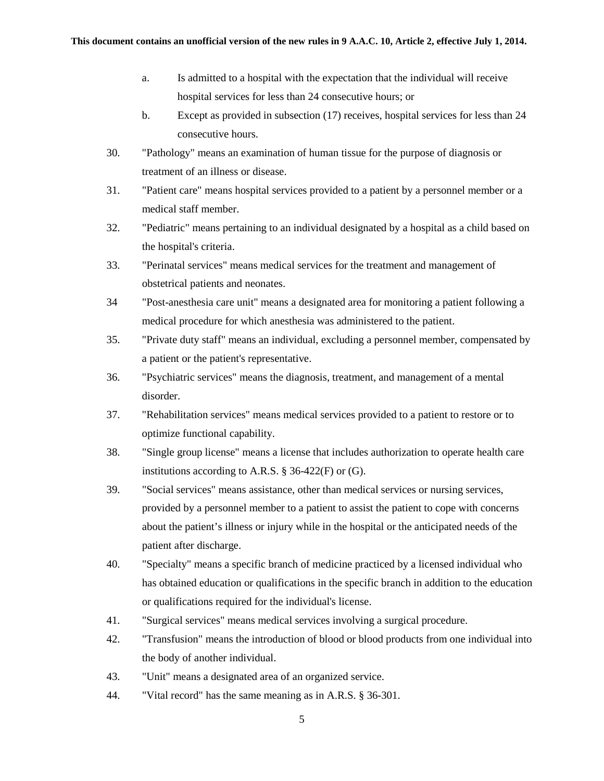- a. Is admitted to a hospital with the expectation that the individual will receive hospital services for less than 24 consecutive hours; or
- b. Except as provided in subsection (17) receives, hospital services for less than 24 consecutive hours.
- 30. "Pathology" means an examination of human tissue for the purpose of diagnosis or treatment of an illness or disease.
- 31. "Patient care" means hospital services provided to a patient by a personnel member or a medical staff member.
- 32. "Pediatric" means pertaining to an individual designated by a hospital as a child based on the hospital's criteria.
- 33. "Perinatal services" means medical services for the treatment and management of obstetrical patients and neonates.
- 34 "Post-anesthesia care unit" means a designated area for monitoring a patient following a medical procedure for which anesthesia was administered to the patient.
- 35. "Private duty staff" means an individual, excluding a personnel member, compensated by a patient or the patient's representative.
- 36. "Psychiatric services" means the diagnosis, treatment, and management of a mental disorder.
- 37. "Rehabilitation services" means medical services provided to a patient to restore or to optimize functional capability.
- 38. "Single group license" means a license that includes authorization to operate health care institutions according to A.R.S. § 36-422(F) or (G).
- 39. "Social services" means assistance, other than medical services or nursing services, provided by a personnel member to a patient to assist the patient to cope with concerns about the patient's illness or injury while in the hospital or the anticipated needs of the patient after discharge.
- 40. "Specialty" means a specific branch of medicine practiced by a licensed individual who has obtained education or qualifications in the specific branch in addition to the education or qualifications required for the individual's license.
- 41. "Surgical services" means medical services involving a surgical procedure.
- 42. "Transfusion" means the introduction of blood or blood products from one individual into the body of another individual.
- 43. "Unit" means a designated area of an organized service.
- 44. "Vital record" has the same meaning as in A.R.S. § 36-301.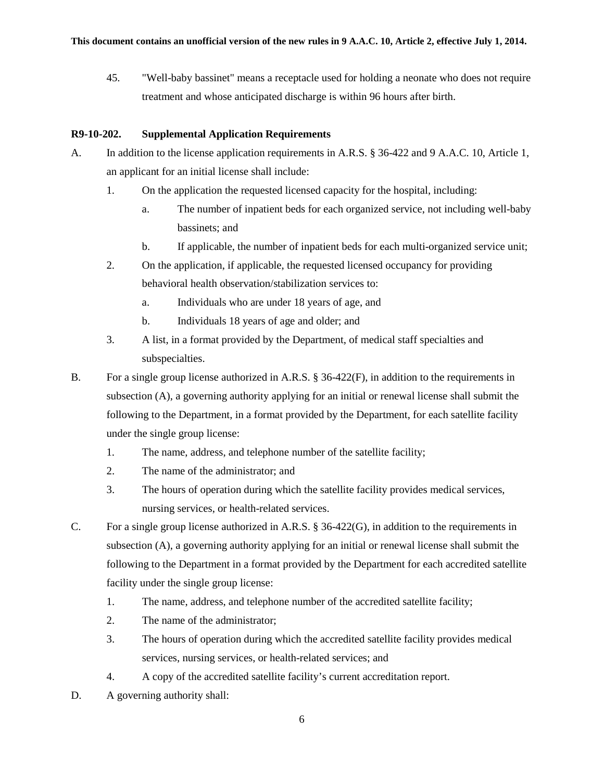45. "Well-baby bassinet" means a receptacle used for holding a neonate who does not require treatment and whose anticipated discharge is within 96 hours after birth.

### **R9-10-202. Supplemental Application Requirements**

- A. In addition to the license application requirements in A.R.S. § 36-422 and 9 A.A.C. 10, Article 1, an applicant for an initial license shall include:
	- 1. On the application the requested licensed capacity for the hospital, including:
		- a. The number of inpatient beds for each organized service, not including well-baby bassinets; and
		- b. If applicable, the number of inpatient beds for each multi-organized service unit;
	- 2. On the application, if applicable, the requested licensed occupancy for providing behavioral health observation/stabilization services to:
		- a. Individuals who are under 18 years of age, and
		- b. Individuals 18 years of age and older; and
	- 3. A list, in a format provided by the Department, of medical staff specialties and subspecialties.
- B. For a single group license authorized in A.R.S. § 36-422(F), in addition to the requirements in subsection (A), a governing authority applying for an initial or renewal license shall submit the following to the Department, in a format provided by the Department, for each satellite facility under the single group license:
	- 1. The name, address, and telephone number of the satellite facility;
	- 2. The name of the administrator; and
	- 3. The hours of operation during which the satellite facility provides medical services, nursing services, or health-related services.
- C. For a single group license authorized in A.R.S. § 36-422(G), in addition to the requirements in subsection (A), a governing authority applying for an initial or renewal license shall submit the following to the Department in a format provided by the Department for each accredited satellite facility under the single group license:
	- 1. The name, address, and telephone number of the accredited satellite facility;
	- 2. The name of the administrator;
	- 3. The hours of operation during which the accredited satellite facility provides medical services, nursing services, or health-related services; and
	- 4. A copy of the accredited satellite facility's current accreditation report.
- D. A governing authority shall: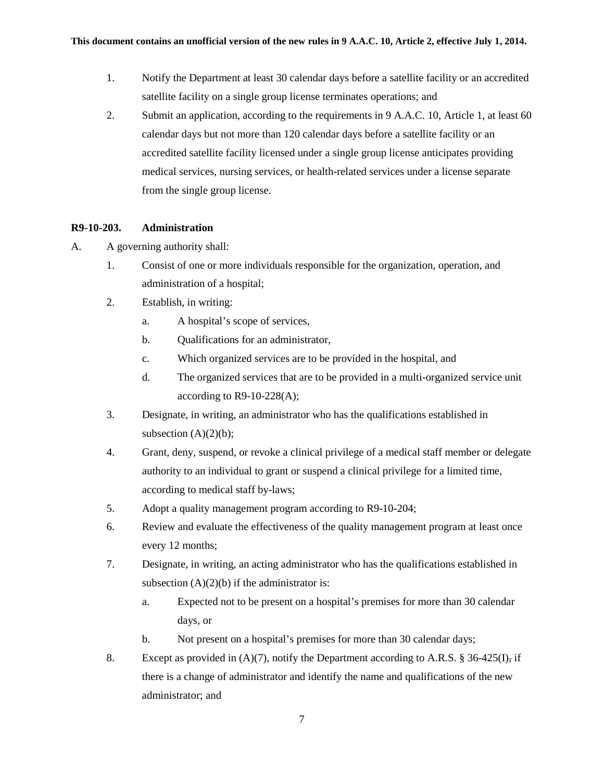- 1. Notify the Department at least 30 calendar days before a satellite facility or an accredited satellite facility on a single group license terminates operations; and
- 2. Submit an application, according to the requirements in 9 A.A.C. 10, Article 1, at least 60 calendar days but not more than 120 calendar days before a satellite facility or an accredited satellite facility licensed under a single group license anticipates providing medical services, nursing services, or health-related services under a license separate from the single group license.

## **R9-10-203. Administration**

- A. A governing authority shall:
	- 1. Consist of one or more individuals responsible for the organization, operation, and administration of a hospital;
	- 2. Establish, in writing:
		- a. A hospital's scope of services,
		- b. Qualifications for an administrator,
		- c. Which organized services are to be provided in the hospital, and
		- d. The organized services that are to be provided in a multi-organized service unit according to R9-10-228(A);
	- 3. Designate, in writing, an administrator who has the qualifications established in subsection  $(A)(2)(b)$ ;
	- 4. Grant, deny, suspend, or revoke a clinical privilege of a medical staff member or delegate authority to an individual to grant or suspend a clinical privilege for a limited time, according to medical staff by-laws;
	- 5. Adopt a quality management program according to R9-10-204;
	- 6. Review and evaluate the effectiveness of the quality management program at least once every 12 months;
	- 7. Designate, in writing, an acting administrator who has the qualifications established in subsection  $(A)(2)(b)$  if the administrator is:
		- a. Expected not to be present on a hospital's premises for more than 30 calendar days, or
		- b. Not present on a hospital's premises for more than 30 calendar days;
	- 8. Except as provided in (A)(7), notify the Department according to A.R.S. § 36-425(I), if there is a change of administrator and identify the name and qualifications of the new administrator; and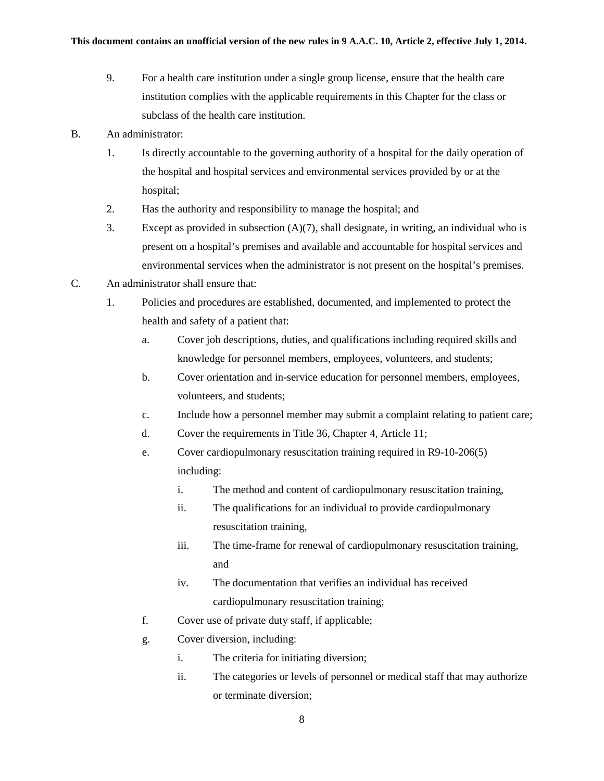- 9. For a health care institution under a single group license, ensure that the health care institution complies with the applicable requirements in this Chapter for the class or subclass of the health care institution.
- B. An administrator:
	- 1. Is directly accountable to the governing authority of a hospital for the daily operation of the hospital and hospital services and environmental services provided by or at the hospital;
	- 2. Has the authority and responsibility to manage the hospital; and
	- 3. Except as provided in subsection (A)(7), shall designate, in writing, an individual who is present on a hospital's premises and available and accountable for hospital services and environmental services when the administrator is not present on the hospital's premises.
- C. An administrator shall ensure that:
	- 1. Policies and procedures are established, documented, and implemented to protect the health and safety of a patient that:
		- a. Cover job descriptions, duties, and qualifications including required skills and knowledge for personnel members, employees, volunteers, and students;
		- b. Cover orientation and in-service education for personnel members, employees, volunteers, and students;
		- c. Include how a personnel member may submit a complaint relating to patient care;
		- d. Cover the requirements in Title 36, Chapter 4, Article 11;
		- e. Cover cardiopulmonary resuscitation training required in R9-10-206(5) including:
			- i. The method and content of cardiopulmonary resuscitation training,
			- ii. The qualifications for an individual to provide cardiopulmonary resuscitation training,
			- iii. The time-frame for renewal of cardiopulmonary resuscitation training, and
			- iv. The documentation that verifies an individual has received cardiopulmonary resuscitation training;
		- f. Cover use of private duty staff, if applicable;
		- g. Cover diversion, including:
			- i. The criteria for initiating diversion;
			- ii. The categories or levels of personnel or medical staff that may authorize or terminate diversion;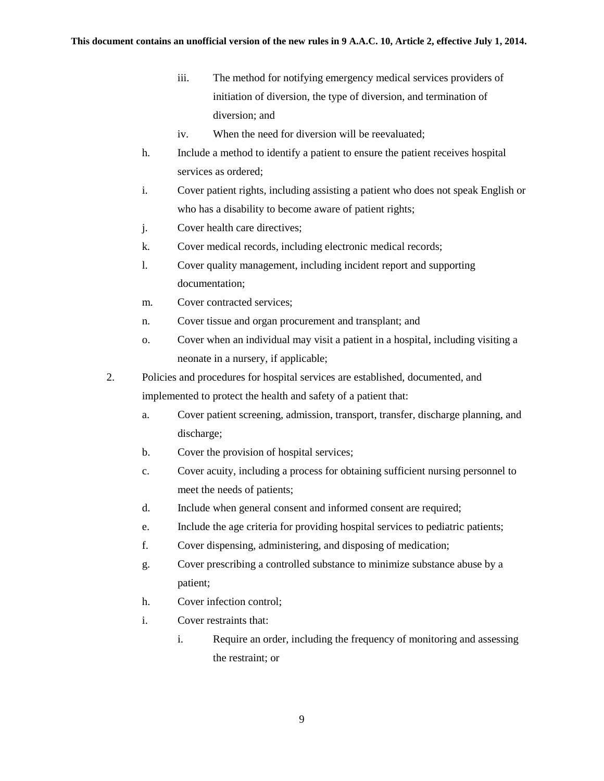- iii. The method for notifying emergency medical services providers of initiation of diversion, the type of diversion, and termination of diversion; and
- iv. When the need for diversion will be reevaluated;
- h. Include a method to identify a patient to ensure the patient receives hospital services as ordered;
- i. Cover patient rights, including assisting a patient who does not speak English or who has a disability to become aware of patient rights;
- j. Cover health care directives;
- k. Cover medical records, including electronic medical records;
- l. Cover quality management, including incident report and supporting documentation;
- m. Cover contracted services;
- n. Cover tissue and organ procurement and transplant; and
- o. Cover when an individual may visit a patient in a hospital, including visiting a neonate in a nursery, if applicable;
- 2. Policies and procedures for hospital services are established, documented, and implemented to protect the health and safety of a patient that:
	- a. Cover patient screening, admission, transport, transfer, discharge planning, and discharge;
	- b. Cover the provision of hospital services;
	- c. Cover acuity, including a process for obtaining sufficient nursing personnel to meet the needs of patients;
	- d. Include when general consent and informed consent are required;
	- e. Include the age criteria for providing hospital services to pediatric patients;
	- f. Cover dispensing, administering, and disposing of medication;
	- g. Cover prescribing a controlled substance to minimize substance abuse by a patient;
	- h. Cover infection control;
	- i. Cover restraints that:
		- i. Require an order, including the frequency of monitoring and assessing the restraint; or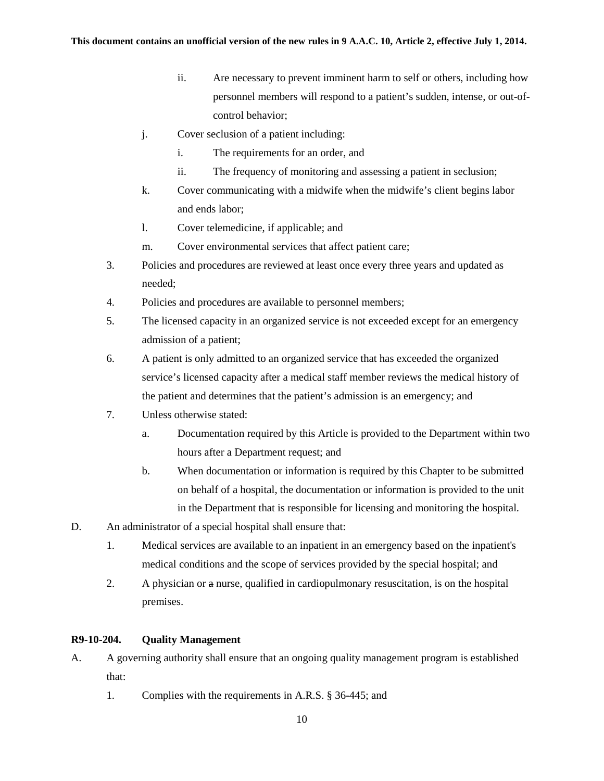- ii. Are necessary to prevent imminent harm to self or others, including how personnel members will respond to a patient's sudden, intense, or out-ofcontrol behavior;
- j. Cover seclusion of a patient including:
	- i. The requirements for an order, and
	- ii. The frequency of monitoring and assessing a patient in seclusion;
- k. Cover communicating with a midwife when the midwife's client begins labor and ends labor;
- l. Cover telemedicine, if applicable; and
- m. Cover environmental services that affect patient care;
- 3. Policies and procedures are reviewed at least once every three years and updated as needed;
- 4. Policies and procedures are available to personnel members;
- 5. The licensed capacity in an organized service is not exceeded except for an emergency admission of a patient;
- 6. A patient is only admitted to an organized service that has exceeded the organized service's licensed capacity after a medical staff member reviews the medical history of the patient and determines that the patient's admission is an emergency; and
- 7. Unless otherwise stated:
	- a. Documentation required by this Article is provided to the Department within two hours after a Department request; and
	- b. When documentation or information is required by this Chapter to be submitted on behalf of a hospital, the documentation or information is provided to the unit in the Department that is responsible for licensing and monitoring the hospital.
- D. An administrator of a special hospital shall ensure that:
	- 1. Medical services are available to an inpatient in an emergency based on the inpatient's medical conditions and the scope of services provided by the special hospital; and
	- 2. A physician or a nurse, qualified in cardiopulmonary resuscitation, is on the hospital premises.

### **R9-10-204. Quality Management**

- A. A governing authority shall ensure that an ongoing quality management program is established that:
	- 1. Complies with the requirements in A.R.S. § 36-445; and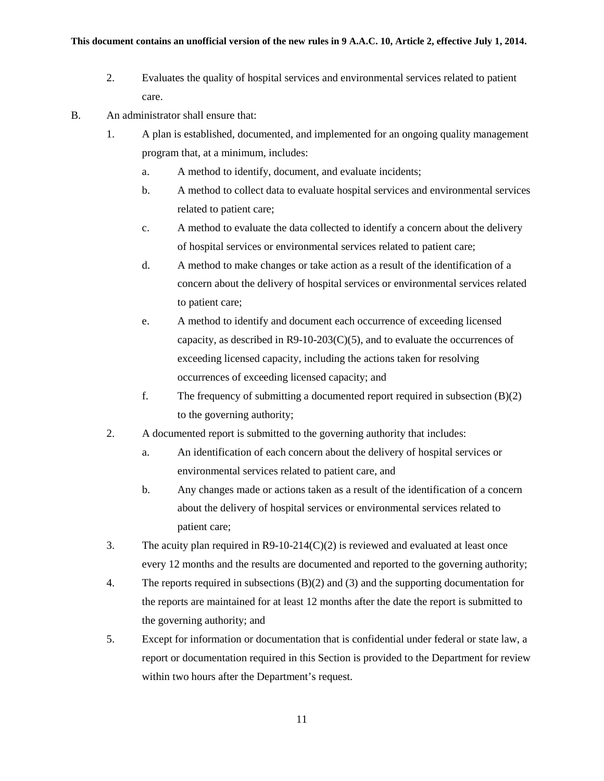- 2. Evaluates the quality of hospital services and environmental services related to patient care.
- B. An administrator shall ensure that:
	- 1. A plan is established, documented, and implemented for an ongoing quality management program that, at a minimum, includes:
		- a. A method to identify, document, and evaluate incidents;
		- b. A method to collect data to evaluate hospital services and environmental services related to patient care;
		- c. A method to evaluate the data collected to identify a concern about the delivery of hospital services or environmental services related to patient care;
		- d. A method to make changes or take action as a result of the identification of a concern about the delivery of hospital services or environmental services related to patient care;
		- e. A method to identify and document each occurrence of exceeding licensed capacity, as described in  $R9-10-203(C)(5)$ , and to evaluate the occurrences of exceeding licensed capacity, including the actions taken for resolving occurrences of exceeding licensed capacity; and
		- f. The frequency of submitting a documented report required in subsection (B)(2) to the governing authority;
	- 2. A documented report is submitted to the governing authority that includes:
		- a. An identification of each concern about the delivery of hospital services or environmental services related to patient care, and
		- b. Any changes made or actions taken as a result of the identification of a concern about the delivery of hospital services or environmental services related to patient care;
	- 3. The acuity plan required in  $R9-10-214(C)(2)$  is reviewed and evaluated at least once every 12 months and the results are documented and reported to the governing authority;
	- 4. The reports required in subsections (B)(2) and (3) and the supporting documentation for the reports are maintained for at least 12 months after the date the report is submitted to the governing authority; and
	- 5. Except for information or documentation that is confidential under federal or state law, a report or documentation required in this Section is provided to the Department for review within two hours after the Department's request.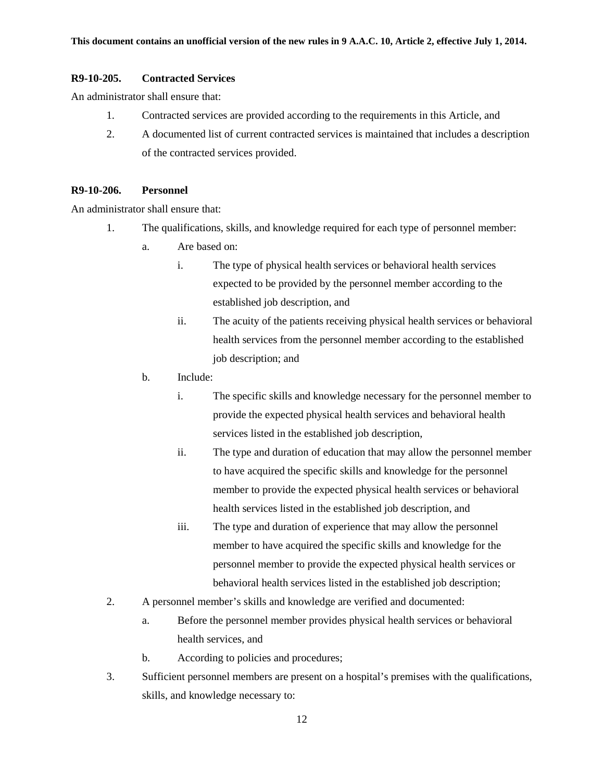#### **R9-10-205. Contracted Services**

An administrator shall ensure that:

- 1. Contracted services are provided according to the requirements in this Article, and
- 2. A documented list of current contracted services is maintained that includes a description of the contracted services provided.

#### **R9-10-206. Personnel**

An administrator shall ensure that:

- 1. The qualifications, skills, and knowledge required for each type of personnel member:
	- a. Are based on:
		- i. The type of physical health services or behavioral health services expected to be provided by the personnel member according to the established job description, and
		- ii. The acuity of the patients receiving physical health services or behavioral health services from the personnel member according to the established job description; and
	- b. Include:
		- i. The specific skills and knowledge necessary for the personnel member to provide the expected physical health services and behavioral health services listed in the established job description,
		- ii. The type and duration of education that may allow the personnel member to have acquired the specific skills and knowledge for the personnel member to provide the expected physical health services or behavioral health services listed in the established job description, and
		- iii. The type and duration of experience that may allow the personnel member to have acquired the specific skills and knowledge for the personnel member to provide the expected physical health services or behavioral health services listed in the established job description;
- 2. A personnel member's skills and knowledge are verified and documented:
	- a. Before the personnel member provides physical health services or behavioral health services, and
	- b. According to policies and procedures;
- 3. Sufficient personnel members are present on a hospital's premises with the qualifications, skills, and knowledge necessary to: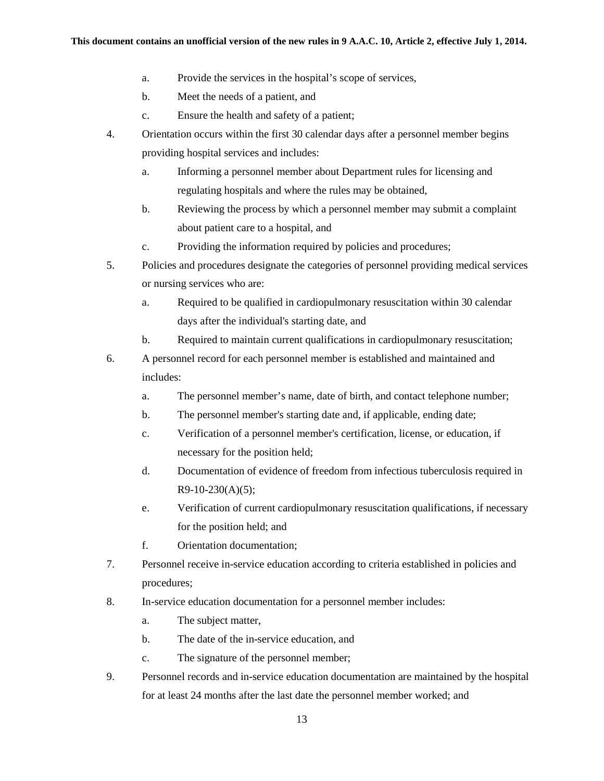- a. Provide the services in the hospital's scope of services,
- b. Meet the needs of a patient, and
- c. Ensure the health and safety of a patient;
- 4. Orientation occurs within the first 30 calendar days after a personnel member begins providing hospital services and includes:
	- a. Informing a personnel member about Department rules for licensing and regulating hospitals and where the rules may be obtained,
	- b. Reviewing the process by which a personnel member may submit a complaint about patient care to a hospital, and
	- c. Providing the information required by policies and procedures;
- 5. Policies and procedures designate the categories of personnel providing medical services or nursing services who are:
	- a. Required to be qualified in cardiopulmonary resuscitation within 30 calendar days after the individual's starting date, and
	- b. Required to maintain current qualifications in cardiopulmonary resuscitation;
- 6. A personnel record for each personnel member is established and maintained and includes:
	- a. The personnel member's name, date of birth, and contact telephone number;
	- b. The personnel member's starting date and, if applicable, ending date;
	- c. Verification of a personnel member's certification, license, or education, if necessary for the position held;
	- d. Documentation of evidence of freedom from infectious tuberculosis required in  $R9-10-230(A)(5);$
	- e. Verification of current cardiopulmonary resuscitation qualifications, if necessary for the position held; and
	- f. Orientation documentation;
- 7. Personnel receive in-service education according to criteria established in policies and procedures;
- 8. In-service education documentation for a personnel member includes:
	- a. The subject matter,
	- b. The date of the in-service education, and
	- c. The signature of the personnel member;
- 9. Personnel records and in-service education documentation are maintained by the hospital for at least 24 months after the last date the personnel member worked; and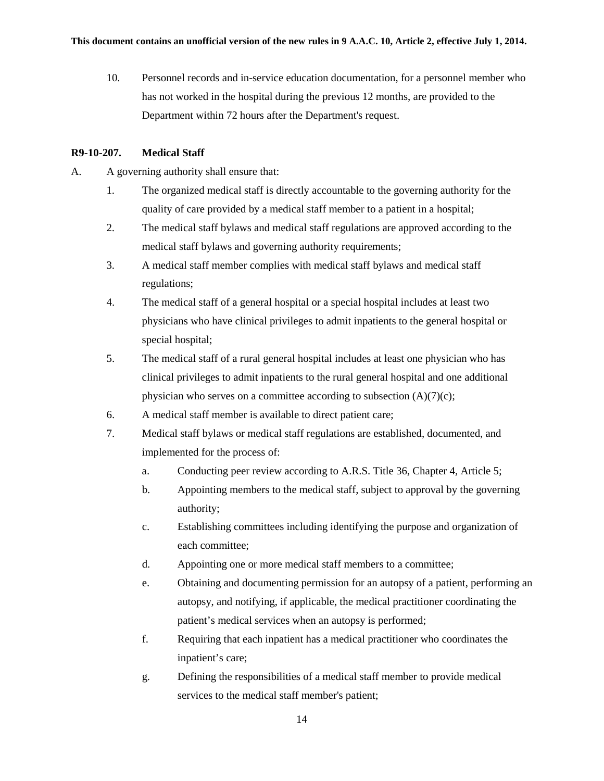10. Personnel records and in-service education documentation, for a personnel member who has not worked in the hospital during the previous 12 months, are provided to the Department within 72 hours after the Department's request.

### **R9-10-207. Medical Staff**

- A. A governing authority shall ensure that:
	- 1. The organized medical staff is directly accountable to the governing authority for the quality of care provided by a medical staff member to a patient in a hospital;
	- 2. The medical staff bylaws and medical staff regulations are approved according to the medical staff bylaws and governing authority requirements;
	- 3. A medical staff member complies with medical staff bylaws and medical staff regulations;
	- 4. The medical staff of a general hospital or a special hospital includes at least two physicians who have clinical privileges to admit inpatients to the general hospital or special hospital;
	- 5. The medical staff of a rural general hospital includes at least one physician who has clinical privileges to admit inpatients to the rural general hospital and one additional physician who serves on a committee according to subsection  $(A)(7)(c)$ ;
	- 6. A medical staff member is available to direct patient care;
	- 7. Medical staff bylaws or medical staff regulations are established, documented, and implemented for the process of:
		- a. Conducting peer review according to A.R.S. Title 36, Chapter 4, Article 5;
		- b. Appointing members to the medical staff, subject to approval by the governing authority;
		- c. Establishing committees including identifying the purpose and organization of each committee;
		- d. Appointing one or more medical staff members to a committee;
		- e. Obtaining and documenting permission for an autopsy of a patient, performing an autopsy, and notifying, if applicable, the medical practitioner coordinating the patient's medical services when an autopsy is performed;
		- f. Requiring that each inpatient has a medical practitioner who coordinates the inpatient's care;
		- g. Defining the responsibilities of a medical staff member to provide medical services to the medical staff member's patient;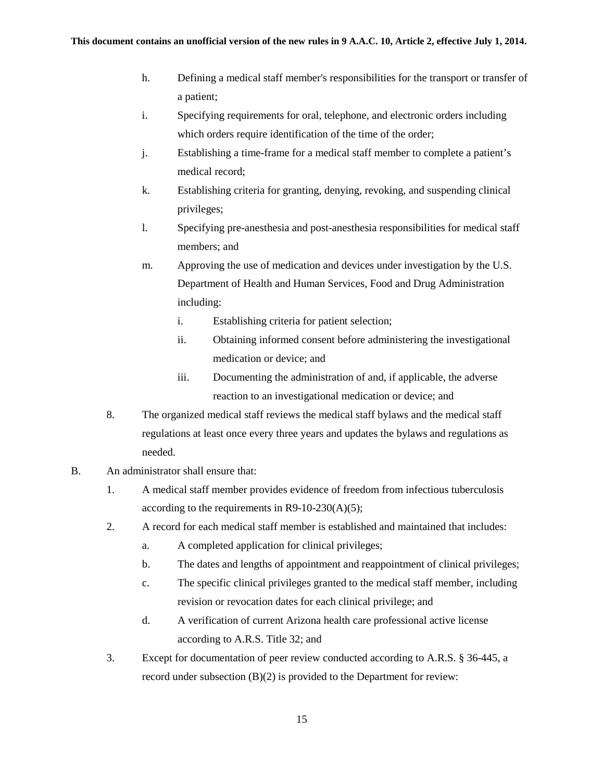- h. Defining a medical staff member's responsibilities for the transport or transfer of a patient;
- i. Specifying requirements for oral, telephone, and electronic orders including which orders require identification of the time of the order;
- j. Establishing a time-frame for a medical staff member to complete a patient's medical record;
- k. Establishing criteria for granting, denying, revoking, and suspending clinical privileges;
- l. Specifying pre-anesthesia and post-anesthesia responsibilities for medical staff members; and
- m. Approving the use of medication and devices under investigation by the U.S. Department of Health and Human Services, Food and Drug Administration including:
	- i. Establishing criteria for patient selection;
	- ii. Obtaining informed consent before administering the investigational medication or device; and
	- iii. Documenting the administration of and, if applicable, the adverse reaction to an investigational medication or device; and
- 8. The organized medical staff reviews the medical staff bylaws and the medical staff regulations at least once every three years and updates the bylaws and regulations as needed.
- B. An administrator shall ensure that:
	- 1. A medical staff member provides evidence of freedom from infectious tuberculosis according to the requirements in  $R9-10-230(A)(5)$ ;
	- 2. A record for each medical staff member is established and maintained that includes:
		- a. A completed application for clinical privileges;
		- b. The dates and lengths of appointment and reappointment of clinical privileges;
		- c. The specific clinical privileges granted to the medical staff member, including revision or revocation dates for each clinical privilege; and
		- d. A verification of current Arizona health care professional active license according to A.R.S. Title 32; and
	- 3. Except for documentation of peer review conducted according to A.R.S. § 36-445, a record under subsection (B)(2) is provided to the Department for review: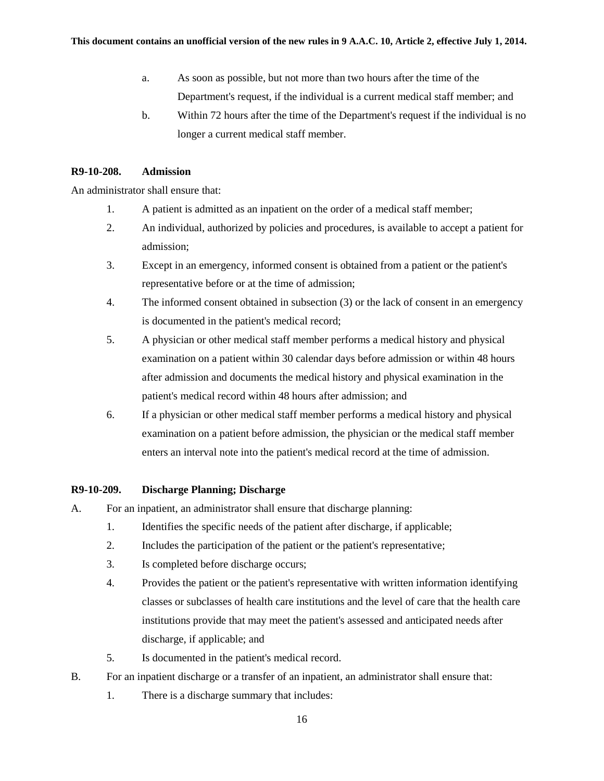- a. As soon as possible, but not more than two hours after the time of the Department's request, if the individual is a current medical staff member; and
- b. Within 72 hours after the time of the Department's request if the individual is no longer a current medical staff member.

### **R9-10-208. Admission**

An administrator shall ensure that:

- 1. A patient is admitted as an inpatient on the order of a medical staff member;
- 2. An individual, authorized by policies and procedures, is available to accept a patient for admission;
- 3. Except in an emergency, informed consent is obtained from a patient or the patient's representative before or at the time of admission;
- 4. The informed consent obtained in subsection (3) or the lack of consent in an emergency is documented in the patient's medical record;
- 5. A physician or other medical staff member performs a medical history and physical examination on a patient within 30 calendar days before admission or within 48 hours after admission and documents the medical history and physical examination in the patient's medical record within 48 hours after admission; and
- 6. If a physician or other medical staff member performs a medical history and physical examination on a patient before admission, the physician or the medical staff member enters an interval note into the patient's medical record at the time of admission.

#### **R9-10-209. Discharge Planning; Discharge**

- A. For an inpatient, an administrator shall ensure that discharge planning:
	- 1. Identifies the specific needs of the patient after discharge, if applicable;
	- 2. Includes the participation of the patient or the patient's representative;
	- 3. Is completed before discharge occurs;
	- 4. Provides the patient or the patient's representative with written information identifying classes or subclasses of health care institutions and the level of care that the health care institutions provide that may meet the patient's assessed and anticipated needs after discharge, if applicable; and
	- 5. Is documented in the patient's medical record.
- B. For an inpatient discharge or a transfer of an inpatient, an administrator shall ensure that:
	- 1. There is a discharge summary that includes: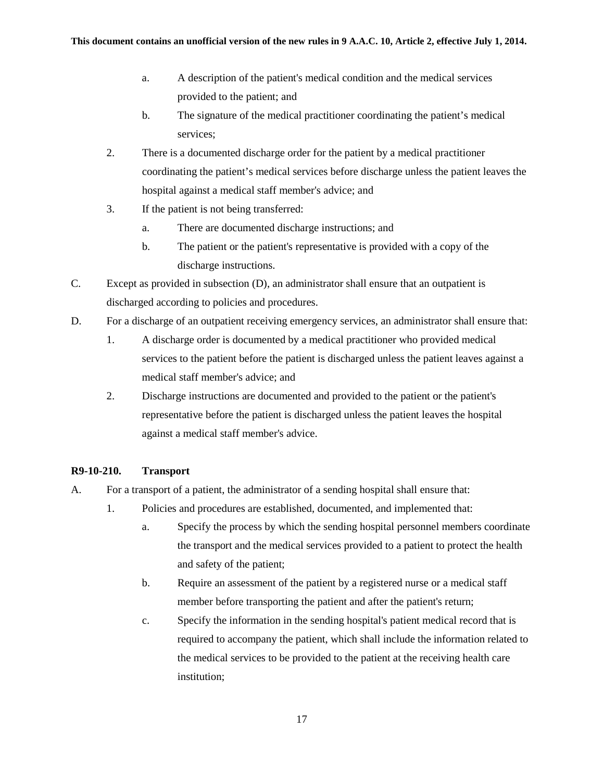- a. A description of the patient's medical condition and the medical services provided to the patient; and
- b. The signature of the medical practitioner coordinating the patient's medical services;
- 2. There is a documented discharge order for the patient by a medical practitioner coordinating the patient's medical services before discharge unless the patient leaves the hospital against a medical staff member's advice; and
- 3. If the patient is not being transferred:
	- a. There are documented discharge instructions; and
	- b. The patient or the patient's representative is provided with a copy of the discharge instructions.
- C. Except as provided in subsection (D), an administrator shall ensure that an outpatient is discharged according to policies and procedures.
- D. For a discharge of an outpatient receiving emergency services, an administrator shall ensure that:
	- 1. A discharge order is documented by a medical practitioner who provided medical services to the patient before the patient is discharged unless the patient leaves against a medical staff member's advice; and
	- 2. Discharge instructions are documented and provided to the patient or the patient's representative before the patient is discharged unless the patient leaves the hospital against a medical staff member's advice.

# **R9-10-210. Transport**

- A. For a transport of a patient, the administrator of a sending hospital shall ensure that:
	- 1. Policies and procedures are established, documented, and implemented that:
		- a. Specify the process by which the sending hospital personnel members coordinate the transport and the medical services provided to a patient to protect the health and safety of the patient;
		- b. Require an assessment of the patient by a registered nurse or a medical staff member before transporting the patient and after the patient's return;
		- c. Specify the information in the sending hospital's patient medical record that is required to accompany the patient, which shall include the information related to the medical services to be provided to the patient at the receiving health care institution;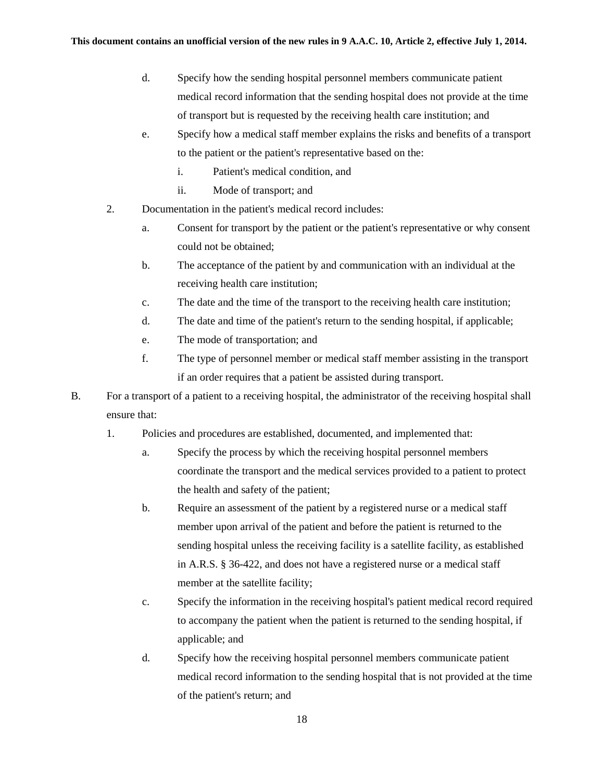- d. Specify how the sending hospital personnel members communicate patient medical record information that the sending hospital does not provide at the time of transport but is requested by the receiving health care institution; and
- e. Specify how a medical staff member explains the risks and benefits of a transport to the patient or the patient's representative based on the:
	- i. Patient's medical condition, and
	- ii. Mode of transport; and
- 2. Documentation in the patient's medical record includes:
	- a. Consent for transport by the patient or the patient's representative or why consent could not be obtained;
	- b. The acceptance of the patient by and communication with an individual at the receiving health care institution;
	- c. The date and the time of the transport to the receiving health care institution;
	- d. The date and time of the patient's return to the sending hospital, if applicable;
	- e. The mode of transportation; and
	- f. The type of personnel member or medical staff member assisting in the transport if an order requires that a patient be assisted during transport.
- B. For a transport of a patient to a receiving hospital, the administrator of the receiving hospital shall ensure that:
	- 1. Policies and procedures are established, documented, and implemented that:
		- a. Specify the process by which the receiving hospital personnel members coordinate the transport and the medical services provided to a patient to protect the health and safety of the patient;
		- b. Require an assessment of the patient by a registered nurse or a medical staff member upon arrival of the patient and before the patient is returned to the sending hospital unless the receiving facility is a satellite facility, as established in A.R.S. § 36-422, and does not have a registered nurse or a medical staff member at the satellite facility;
		- c. Specify the information in the receiving hospital's patient medical record required to accompany the patient when the patient is returned to the sending hospital, if applicable; and
		- d. Specify how the receiving hospital personnel members communicate patient medical record information to the sending hospital that is not provided at the time of the patient's return; and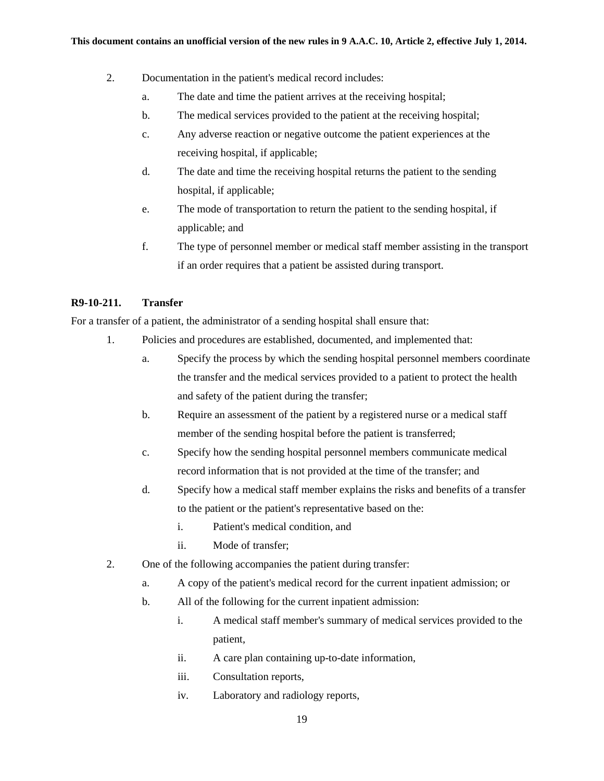- 2. Documentation in the patient's medical record includes:
	- a. The date and time the patient arrives at the receiving hospital;
	- b. The medical services provided to the patient at the receiving hospital;
	- c. Any adverse reaction or negative outcome the patient experiences at the receiving hospital, if applicable;
	- d. The date and time the receiving hospital returns the patient to the sending hospital, if applicable;
	- e. The mode of transportation to return the patient to the sending hospital, if applicable; and
	- f. The type of personnel member or medical staff member assisting in the transport if an order requires that a patient be assisted during transport.

#### **R9-10-211. Transfer**

For a transfer of a patient, the administrator of a sending hospital shall ensure that:

- 1. Policies and procedures are established, documented, and implemented that:
	- a. Specify the process by which the sending hospital personnel members coordinate the transfer and the medical services provided to a patient to protect the health and safety of the patient during the transfer;
	- b. Require an assessment of the patient by a registered nurse or a medical staff member of the sending hospital before the patient is transferred;
	- c. Specify how the sending hospital personnel members communicate medical record information that is not provided at the time of the transfer; and
	- d. Specify how a medical staff member explains the risks and benefits of a transfer to the patient or the patient's representative based on the:
		- i. Patient's medical condition, and
		- ii. Mode of transfer;
- 2. One of the following accompanies the patient during transfer:
	- a. A copy of the patient's medical record for the current inpatient admission; or
	- b. All of the following for the current inpatient admission:
		- i. A medical staff member's summary of medical services provided to the patient,
		- ii. A care plan containing up-to-date information,
		- iii. Consultation reports,
		- iv. Laboratory and radiology reports,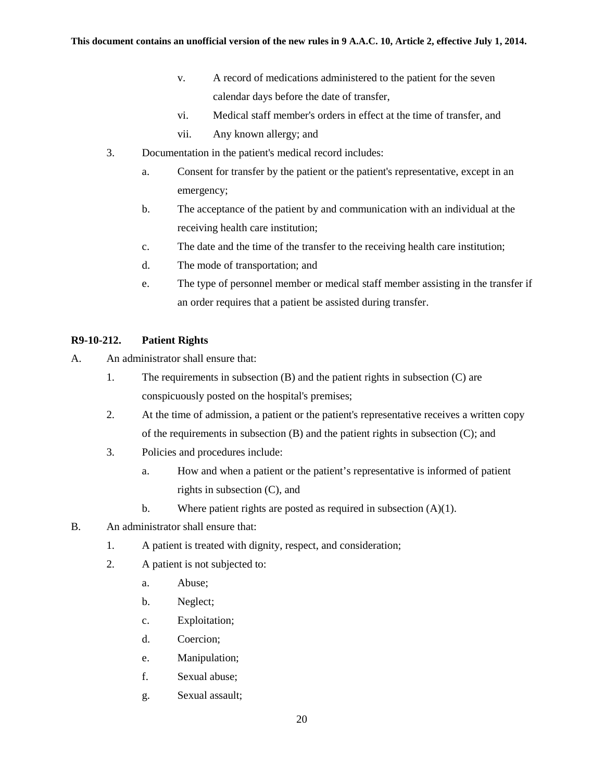- v. A record of medications administered to the patient for the seven calendar days before the date of transfer,
- vi. Medical staff member's orders in effect at the time of transfer, and
- vii. Any known allergy; and
- 3. Documentation in the patient's medical record includes:
	- a. Consent for transfer by the patient or the patient's representative, except in an emergency;
	- b. The acceptance of the patient by and communication with an individual at the receiving health care institution;
	- c. The date and the time of the transfer to the receiving health care institution;
	- d. The mode of transportation; and
	- e. The type of personnel member or medical staff member assisting in the transfer if an order requires that a patient be assisted during transfer.

# **R9-10-212. Patient Rights**

- A. An administrator shall ensure that:
	- 1. The requirements in subsection (B) and the patient rights in subsection (C) are conspicuously posted on the hospital's premises;
	- 2. At the time of admission, a patient or the patient's representative receives a written copy of the requirements in subsection (B) and the patient rights in subsection (C); and
	- 3. Policies and procedures include:
		- a. How and when a patient or the patient's representative is informed of patient rights in subsection (C), and
		- b. Where patient rights are posted as required in subsection  $(A)(1)$ .
- B. An administrator shall ensure that:
	- 1. A patient is treated with dignity, respect, and consideration;
	- 2. A patient is not subjected to:
		- a. Abuse;
		- b. Neglect;
		- c. Exploitation;
		- d. Coercion;
		- e. Manipulation;
		- f. Sexual abuse;
		- g. Sexual assault;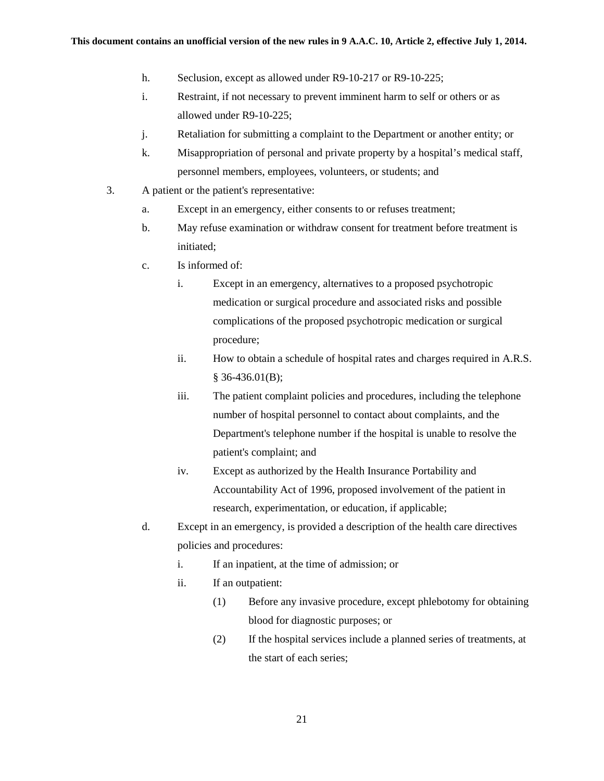- h. Seclusion, except as allowed under R9-10-217 or R9-10-225;
- i. Restraint, if not necessary to prevent imminent harm to self or others or as allowed under R9-10-225;
- j. Retaliation for submitting a complaint to the Department or another entity; or
- k. Misappropriation of personal and private property by a hospital's medical staff, personnel members, employees, volunteers, or students; and
- 3. A patient or the patient's representative:
	- a. Except in an emergency, either consents to or refuses treatment;
	- b. May refuse examination or withdraw consent for treatment before treatment is initiated;
	- c. Is informed of:
		- i. Except in an emergency, alternatives to a proposed psychotropic medication or surgical procedure and associated risks and possible complications of the proposed psychotropic medication or surgical procedure;
		- ii. How to obtain a schedule of hospital rates and charges required in A.R.S. § 36-436.01(B);
		- iii. The patient complaint policies and procedures, including the telephone number of hospital personnel to contact about complaints, and the Department's telephone number if the hospital is unable to resolve the patient's complaint; and
		- iv. Except as authorized by the Health Insurance Portability and Accountability Act of 1996, proposed involvement of the patient in research, experimentation, or education, if applicable;
	- d. Except in an emergency, is provided a description of the health care directives policies and procedures:
		- i. If an inpatient, at the time of admission; or
		- ii. If an outpatient:
			- (1) Before any invasive procedure, except phlebotomy for obtaining blood for diagnostic purposes; or
			- (2) If the hospital services include a planned series of treatments, at the start of each series;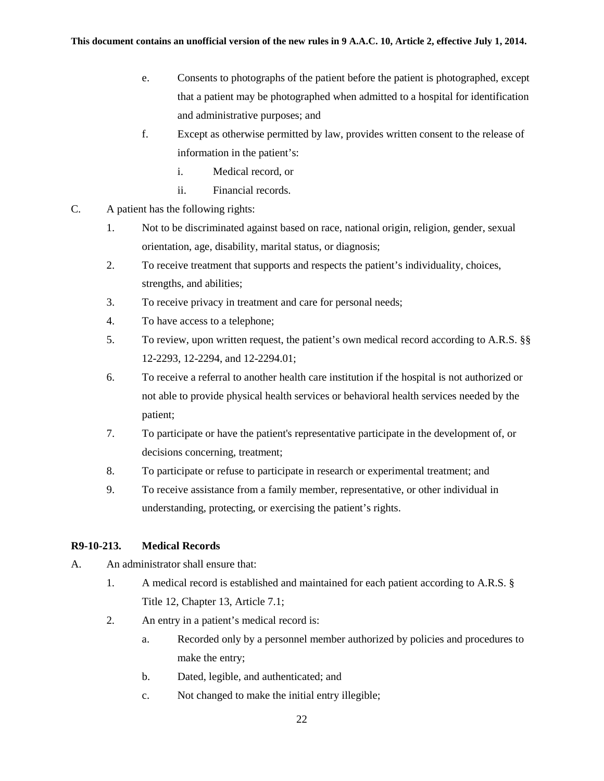- e. Consents to photographs of the patient before the patient is photographed, except that a patient may be photographed when admitted to a hospital for identification and administrative purposes; and
- f. Except as otherwise permitted by law, provides written consent to the release of information in the patient's:
	- i. Medical record, or
	- ii. Financial records.
- C. A patient has the following rights:
	- 1. Not to be discriminated against based on race, national origin, religion, gender, sexual orientation, age, disability, marital status, or diagnosis;
	- 2. To receive treatment that supports and respects the patient's individuality, choices, strengths, and abilities;
	- 3. To receive privacy in treatment and care for personal needs;
	- 4. To have access to a telephone;
	- 5. To review, upon written request, the patient's own medical record according to A.R.S. §§ 12-2293, 12-2294, and 12-2294.01;
	- 6. To receive a referral to another health care institution if the hospital is not authorized or not able to provide physical health services or behavioral health services needed by the patient;
	- 7. To participate or have the patient's representative participate in the development of, or decisions concerning, treatment;
	- 8. To participate or refuse to participate in research or experimental treatment; and
	- 9. To receive assistance from a family member, representative, or other individual in understanding, protecting, or exercising the patient's rights.

## **R9-10-213. Medical Records**

- A. An administrator shall ensure that:
	- 1. A medical record is established and maintained for each patient according to A.R.S. § Title 12, Chapter 13, Article 7.1;
	- 2. An entry in a patient's medical record is:
		- a. Recorded only by a personnel member authorized by policies and procedures to make the entry;
		- b. Dated, legible, and authenticated; and
		- c. Not changed to make the initial entry illegible;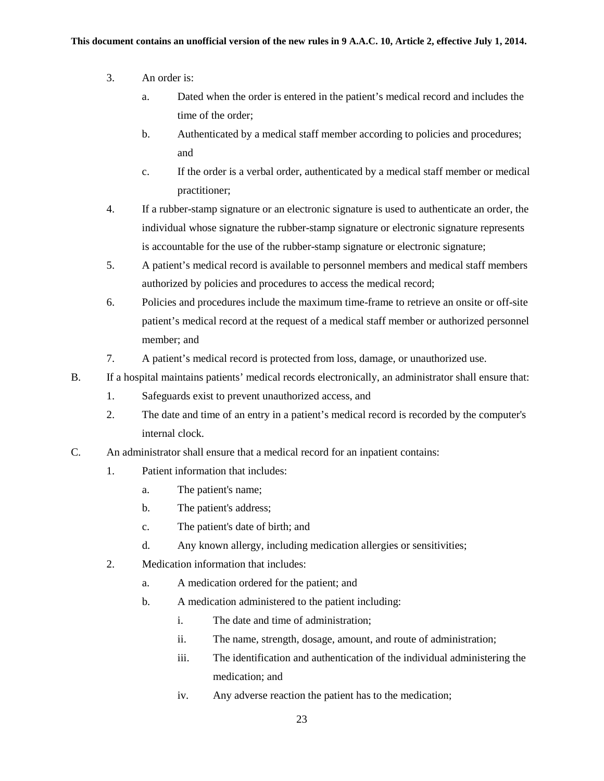- 3. An order is:
	- a. Dated when the order is entered in the patient's medical record and includes the time of the order;
	- b. Authenticated by a medical staff member according to policies and procedures; and
	- c. If the order is a verbal order, authenticated by a medical staff member or medical practitioner;
- 4. If a rubber-stamp signature or an electronic signature is used to authenticate an order, the individual whose signature the rubber-stamp signature or electronic signature represents is accountable for the use of the rubber-stamp signature or electronic signature;
- 5. A patient's medical record is available to personnel members and medical staff members authorized by policies and procedures to access the medical record;
- 6. Policies and procedures include the maximum time-frame to retrieve an onsite or off-site patient's medical record at the request of a medical staff member or authorized personnel member; and
- 7. A patient's medical record is protected from loss, damage, or unauthorized use.
- B. If a hospital maintains patients' medical records electronically, an administrator shall ensure that:
	- 1. Safeguards exist to prevent unauthorized access, and
	- 2. The date and time of an entry in a patient's medical record is recorded by the computer's internal clock.
- C. An administrator shall ensure that a medical record for an inpatient contains:
	- 1. Patient information that includes:
		- a. The patient's name;
		- b. The patient's address;
		- c. The patient's date of birth; and
		- d. Any known allergy, including medication allergies or sensitivities;
	- 2. Medication information that includes:
		- a. A medication ordered for the patient; and
		- b. A medication administered to the patient including:
			- i. The date and time of administration;
			- ii. The name, strength, dosage, amount, and route of administration;
			- iii. The identification and authentication of the individual administering the medication; and
			- iv. Any adverse reaction the patient has to the medication;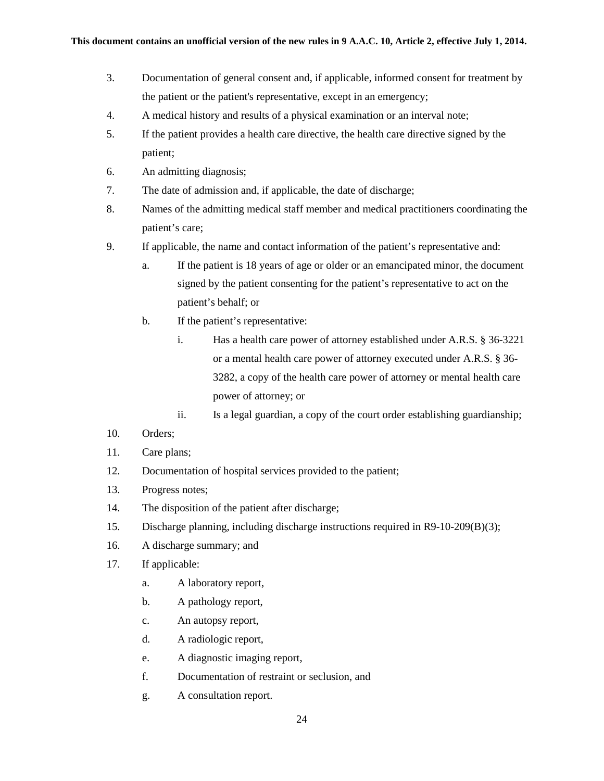- 3. Documentation of general consent and, if applicable, informed consent for treatment by the patient or the patient's representative, except in an emergency;
- 4. A medical history and results of a physical examination or an interval note;
- 5. If the patient provides a health care directive, the health care directive signed by the patient;
- 6. An admitting diagnosis;
- 7. The date of admission and, if applicable, the date of discharge;
- 8. Names of the admitting medical staff member and medical practitioners coordinating the patient's care;
- 9. If applicable, the name and contact information of the patient's representative and:
	- a. If the patient is 18 years of age or older or an emancipated minor, the document signed by the patient consenting for the patient's representative to act on the patient's behalf; or
	- b. If the patient's representative:
		- i. Has a health care power of attorney established under A.R.S. § 36-3221 or a mental health care power of attorney executed under A.R.S. § 36- 3282, a copy of the health care power of attorney or mental health care power of attorney; or
		- ii. Is a legal guardian, a copy of the court order establishing guardianship;
- 10. Orders;
- 11. Care plans;
- 12. Documentation of hospital services provided to the patient;
- 13. Progress notes;
- 14. The disposition of the patient after discharge;
- 15. Discharge planning, including discharge instructions required in R9-10-209(B)(3);
- 16. A discharge summary; and
- 17. If applicable:
	- a. A laboratory report,
	- b. A pathology report,
	- c. An autopsy report,
	- d. A radiologic report,
	- e. A diagnostic imaging report,
	- f. Documentation of restraint or seclusion, and
	- g. A consultation report.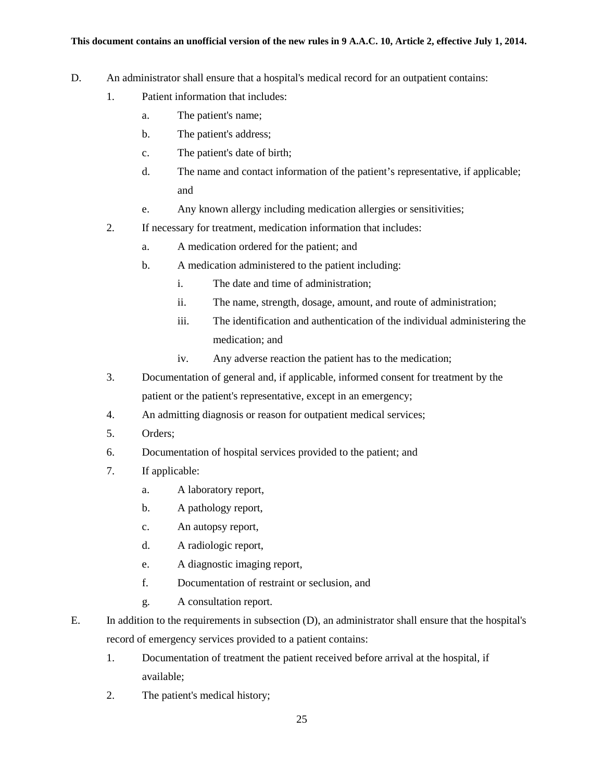- D. An administrator shall ensure that a hospital's medical record for an outpatient contains:
	- 1. Patient information that includes:
		- a. The patient's name;
		- b. The patient's address;
		- c. The patient's date of birth;
		- d. The name and contact information of the patient's representative, if applicable; and
		- e. Any known allergy including medication allergies or sensitivities;
	- 2. If necessary for treatment, medication information that includes:
		- a. A medication ordered for the patient; and
		- b. A medication administered to the patient including:
			- i. The date and time of administration;
			- ii. The name, strength, dosage, amount, and route of administration;
			- iii. The identification and authentication of the individual administering the medication; and
			- iv. Any adverse reaction the patient has to the medication;
	- 3. Documentation of general and, if applicable, informed consent for treatment by the patient or the patient's representative, except in an emergency;
	- 4. An admitting diagnosis or reason for outpatient medical services;
	- 5. Orders;
	- 6. Documentation of hospital services provided to the patient; and
	- 7. If applicable:
		- a. A laboratory report,
		- b. A pathology report,
		- c. An autopsy report,
		- d. A radiologic report,
		- e. A diagnostic imaging report,
		- f. Documentation of restraint or seclusion, and
		- g. A consultation report.
- E. In addition to the requirements in subsection (D), an administrator shall ensure that the hospital's record of emergency services provided to a patient contains:
	- 1. Documentation of treatment the patient received before arrival at the hospital, if available;
	- 2. The patient's medical history;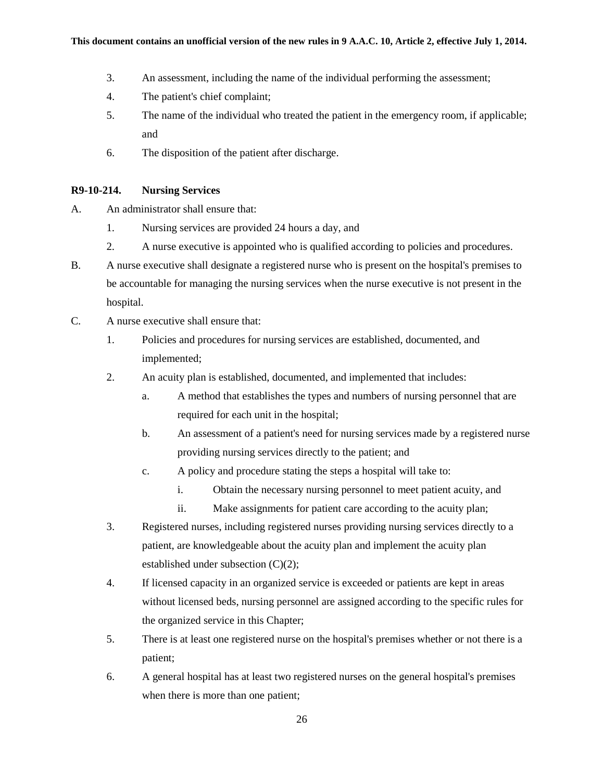- 3. An assessment, including the name of the individual performing the assessment;
- 4. The patient's chief complaint;
- 5. The name of the individual who treated the patient in the emergency room, if applicable; and
- 6. The disposition of the patient after discharge.

# **R9-10-214. Nursing Services**

- A. An administrator shall ensure that:
	- 1. Nursing services are provided 24 hours a day, and
	- 2. A nurse executive is appointed who is qualified according to policies and procedures.
- B. A nurse executive shall designate a registered nurse who is present on the hospital's premises to be accountable for managing the nursing services when the nurse executive is not present in the hospital.
- C. A nurse executive shall ensure that:
	- 1. Policies and procedures for nursing services are established, documented, and implemented;
	- 2. An acuity plan is established, documented, and implemented that includes:
		- a. A method that establishes the types and numbers of nursing personnel that are required for each unit in the hospital;
		- b. An assessment of a patient's need for nursing services made by a registered nurse providing nursing services directly to the patient; and
		- c. A policy and procedure stating the steps a hospital will take to:
			- i. Obtain the necessary nursing personnel to meet patient acuity, and
			- ii. Make assignments for patient care according to the acuity plan;
	- 3. Registered nurses, including registered nurses providing nursing services directly to a patient, are knowledgeable about the acuity plan and implement the acuity plan established under subsection (C)(2);
	- 4. If licensed capacity in an organized service is exceeded or patients are kept in areas without licensed beds, nursing personnel are assigned according to the specific rules for the organized service in this Chapter;
	- 5. There is at least one registered nurse on the hospital's premises whether or not there is a patient;
	- 6. A general hospital has at least two registered nurses on the general hospital's premises when there is more than one patient;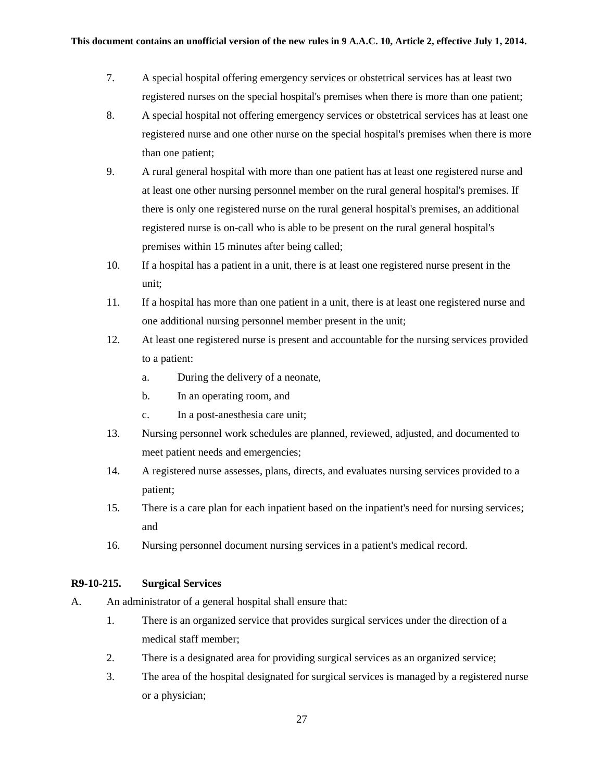- 7. A special hospital offering emergency services or obstetrical services has at least two registered nurses on the special hospital's premises when there is more than one patient;
- 8. A special hospital not offering emergency services or obstetrical services has at least one registered nurse and one other nurse on the special hospital's premises when there is more than one patient;
- 9. A rural general hospital with more than one patient has at least one registered nurse and at least one other nursing personnel member on the rural general hospital's premises. If there is only one registered nurse on the rural general hospital's premises, an additional registered nurse is on-call who is able to be present on the rural general hospital's premises within 15 minutes after being called;
- 10. If a hospital has a patient in a unit, there is at least one registered nurse present in the unit;
- 11. If a hospital has more than one patient in a unit, there is at least one registered nurse and one additional nursing personnel member present in the unit;
- 12. At least one registered nurse is present and accountable for the nursing services provided to a patient:
	- a. During the delivery of a neonate,
	- b. In an operating room, and
	- c. In a post-anesthesia care unit;
- 13. Nursing personnel work schedules are planned, reviewed, adjusted, and documented to meet patient needs and emergencies;
- 14. A registered nurse assesses, plans, directs, and evaluates nursing services provided to a patient;
- 15. There is a care plan for each inpatient based on the inpatient's need for nursing services; and
- 16. Nursing personnel document nursing services in a patient's medical record.

### **R9-10-215. Surgical Services**

- A. An administrator of a general hospital shall ensure that:
	- 1. There is an organized service that provides surgical services under the direction of a medical staff member;
	- 2. There is a designated area for providing surgical services as an organized service;
	- 3. The area of the hospital designated for surgical services is managed by a registered nurse or a physician;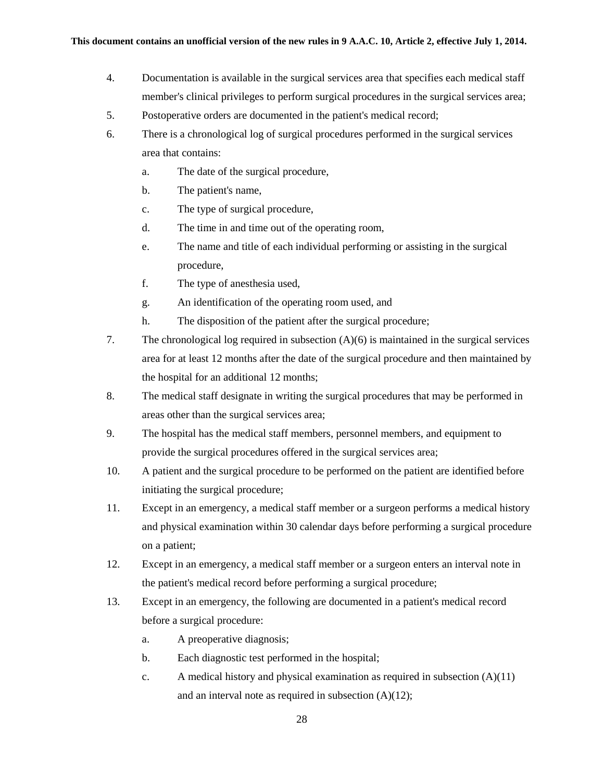- 4. Documentation is available in the surgical services area that specifies each medical staff member's clinical privileges to perform surgical procedures in the surgical services area;
- 5. Postoperative orders are documented in the patient's medical record;
- 6. There is a chronological log of surgical procedures performed in the surgical services area that contains:
	- a. The date of the surgical procedure,
	- b. The patient's name,
	- c. The type of surgical procedure,
	- d. The time in and time out of the operating room,
	- e. The name and title of each individual performing or assisting in the surgical procedure,
	- f. The type of anesthesia used,
	- g. An identification of the operating room used, and
	- h. The disposition of the patient after the surgical procedure;
- 7. The chronological log required in subsection (A)(6) is maintained in the surgical services area for at least 12 months after the date of the surgical procedure and then maintained by the hospital for an additional 12 months;
- 8. The medical staff designate in writing the surgical procedures that may be performed in areas other than the surgical services area;
- 9. The hospital has the medical staff members, personnel members, and equipment to provide the surgical procedures offered in the surgical services area;
- 10. A patient and the surgical procedure to be performed on the patient are identified before initiating the surgical procedure;
- 11. Except in an emergency, a medical staff member or a surgeon performs a medical history and physical examination within 30 calendar days before performing a surgical procedure on a patient;
- 12. Except in an emergency, a medical staff member or a surgeon enters an interval note in the patient's medical record before performing a surgical procedure;
- 13. Except in an emergency, the following are documented in a patient's medical record before a surgical procedure:
	- a. A preoperative diagnosis;
	- b. Each diagnostic test performed in the hospital;
	- c. A medical history and physical examination as required in subsection  $(A)(11)$ and an interval note as required in subsection (A)(12);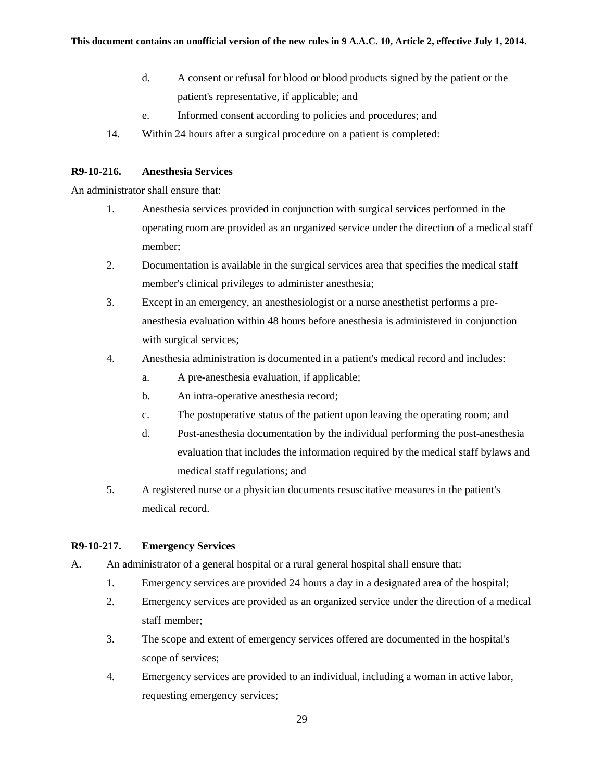- d. A consent or refusal for blood or blood products signed by the patient or the patient's representative, if applicable; and
- e. Informed consent according to policies and procedures; and
- 14. Within 24 hours after a surgical procedure on a patient is completed:

### **R9-10-216. Anesthesia Services**

An administrator shall ensure that:

- 1. Anesthesia services provided in conjunction with surgical services performed in the operating room are provided as an organized service under the direction of a medical staff member;
- 2. Documentation is available in the surgical services area that specifies the medical staff member's clinical privileges to administer anesthesia;
- 3. Except in an emergency, an anesthesiologist or a nurse anesthetist performs a preanesthesia evaluation within 48 hours before anesthesia is administered in conjunction with surgical services;
- 4. Anesthesia administration is documented in a patient's medical record and includes:
	- a. A pre-anesthesia evaluation, if applicable;
	- b. An intra-operative anesthesia record;
	- c. The postoperative status of the patient upon leaving the operating room; and
	- d. Post-anesthesia documentation by the individual performing the post-anesthesia evaluation that includes the information required by the medical staff bylaws and medical staff regulations; and
- 5. A registered nurse or a physician documents resuscitative measures in the patient's medical record.

#### **R9-10-217. Emergency Services**

- A. An administrator of a general hospital or a rural general hospital shall ensure that:
	- 1. Emergency services are provided 24 hours a day in a designated area of the hospital;
	- 2. Emergency services are provided as an organized service under the direction of a medical staff member;
	- 3. The scope and extent of emergency services offered are documented in the hospital's scope of services;
	- 4. Emergency services are provided to an individual, including a woman in active labor, requesting emergency services;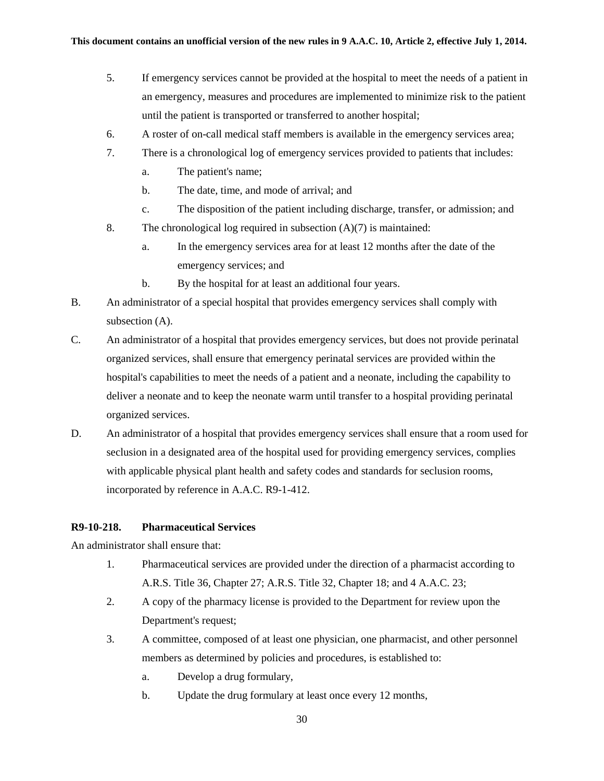- 5. If emergency services cannot be provided at the hospital to meet the needs of a patient in an emergency, measures and procedures are implemented to minimize risk to the patient until the patient is transported or transferred to another hospital;
- 6. A roster of on-call medical staff members is available in the emergency services area;
- 7. There is a chronological log of emergency services provided to patients that includes:
	- a. The patient's name;
	- b. The date, time, and mode of arrival; and
	- c. The disposition of the patient including discharge, transfer, or admission; and
- 8. The chronological log required in subsection  $(A)(7)$  is maintained:
	- a. In the emergency services area for at least 12 months after the date of the emergency services; and
	- b. By the hospital for at least an additional four years.
- B. An administrator of a special hospital that provides emergency services shall comply with subsection (A).
- C. An administrator of a hospital that provides emergency services, but does not provide perinatal organized services, shall ensure that emergency perinatal services are provided within the hospital's capabilities to meet the needs of a patient and a neonate, including the capability to deliver a neonate and to keep the neonate warm until transfer to a hospital providing perinatal organized services.
- D. An administrator of a hospital that provides emergency services shall ensure that a room used for seclusion in a designated area of the hospital used for providing emergency services, complies with applicable physical plant health and safety codes and standards for seclusion rooms, incorporated by reference in A.A.C. R9-1-412.

#### **R9-10-218. Pharmaceutical Services**

An administrator shall ensure that:

- 1. Pharmaceutical services are provided under the direction of a pharmacist according to A.R.S. Title 36, Chapter 27; A.R.S. Title 32, Chapter 18; and 4 A.A.C. 23;
- 2. A copy of the pharmacy license is provided to the Department for review upon the Department's request;
- 3. A committee, composed of at least one physician, one pharmacist, and other personnel members as determined by policies and procedures, is established to:
	- a. Develop a drug formulary,
	- b. Update the drug formulary at least once every 12 months,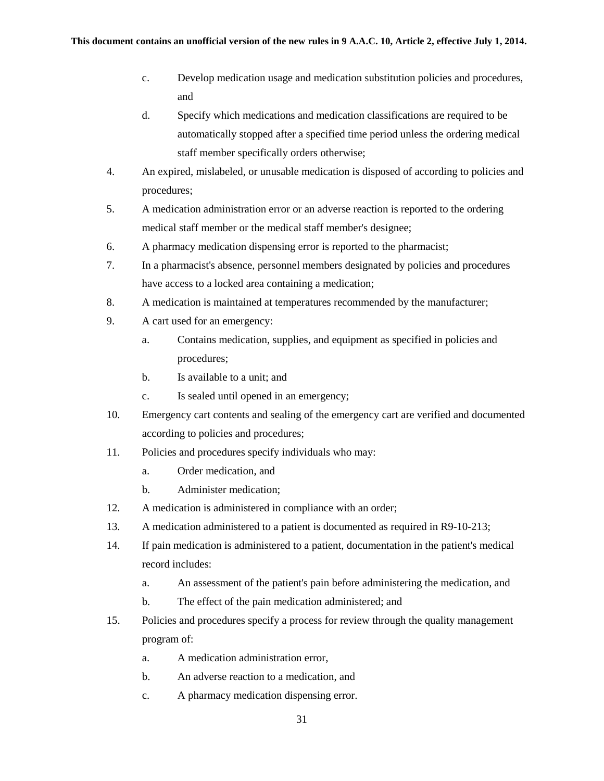- c. Develop medication usage and medication substitution policies and procedures, and
- d. Specify which medications and medication classifications are required to be automatically stopped after a specified time period unless the ordering medical staff member specifically orders otherwise;
- 4. An expired, mislabeled, or unusable medication is disposed of according to policies and procedures;
- 5. A medication administration error or an adverse reaction is reported to the ordering medical staff member or the medical staff member's designee;
- 6. A pharmacy medication dispensing error is reported to the pharmacist;
- 7. In a pharmacist's absence, personnel members designated by policies and procedures have access to a locked area containing a medication;
- 8. A medication is maintained at temperatures recommended by the manufacturer;
- 9. A cart used for an emergency:
	- a. Contains medication, supplies, and equipment as specified in policies and procedures;
	- b. Is available to a unit; and
	- c. Is sealed until opened in an emergency;
- 10. Emergency cart contents and sealing of the emergency cart are verified and documented according to policies and procedures;
- 11. Policies and procedures specify individuals who may:
	- a. Order medication, and
	- b. Administer medication;
- 12. A medication is administered in compliance with an order;
- 13. A medication administered to a patient is documented as required in R9-10-213;
- 14. If pain medication is administered to a patient, documentation in the patient's medical record includes:
	- a. An assessment of the patient's pain before administering the medication, and
	- b. The effect of the pain medication administered; and
- 15. Policies and procedures specify a process for review through the quality management program of:
	- a. A medication administration error,
	- b. An adverse reaction to a medication, and
	- c. A pharmacy medication dispensing error.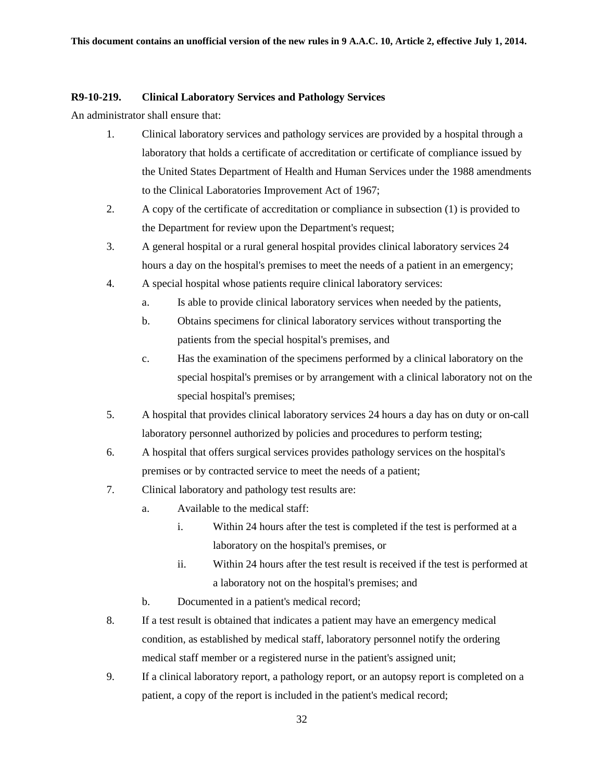### **R9-10-219. Clinical Laboratory Services and Pathology Services**

An administrator shall ensure that:

- 1. Clinical laboratory services and pathology services are provided by a hospital through a laboratory that holds a certificate of accreditation or certificate of compliance issued by the United States Department of Health and Human Services under the 1988 amendments to the Clinical Laboratories Improvement Act of 1967;
- 2. A copy of the certificate of accreditation or compliance in subsection (1) is provided to the Department for review upon the Department's request;
- 3. A general hospital or a rural general hospital provides clinical laboratory services 24 hours a day on the hospital's premises to meet the needs of a patient in an emergency;
- 4. A special hospital whose patients require clinical laboratory services:
	- a. Is able to provide clinical laboratory services when needed by the patients,
	- b. Obtains specimens for clinical laboratory services without transporting the patients from the special hospital's premises, and
	- c. Has the examination of the specimens performed by a clinical laboratory on the special hospital's premises or by arrangement with a clinical laboratory not on the special hospital's premises;
- 5. A hospital that provides clinical laboratory services 24 hours a day has on duty or on-call laboratory personnel authorized by policies and procedures to perform testing;
- 6. A hospital that offers surgical services provides pathology services on the hospital's premises or by contracted service to meet the needs of a patient;
- 7. Clinical laboratory and pathology test results are:
	- a. Available to the medical staff:
		- i. Within 24 hours after the test is completed if the test is performed at a laboratory on the hospital's premises, or
		- ii. Within 24 hours after the test result is received if the test is performed at a laboratory not on the hospital's premises; and
	- b. Documented in a patient's medical record;
- 8. If a test result is obtained that indicates a patient may have an emergency medical condition, as established by medical staff, laboratory personnel notify the ordering medical staff member or a registered nurse in the patient's assigned unit;
- 9. If a clinical laboratory report, a pathology report, or an autopsy report is completed on a patient, a copy of the report is included in the patient's medical record;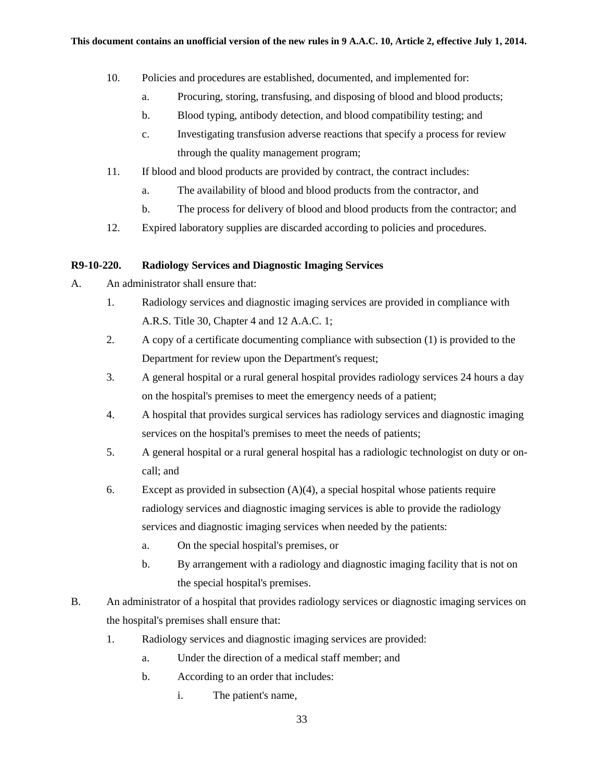- 10. Policies and procedures are established, documented, and implemented for:
	- a. Procuring, storing, transfusing, and disposing of blood and blood products;
	- b. Blood typing, antibody detection, and blood compatibility testing; and
	- c. Investigating transfusion adverse reactions that specify a process for review through the quality management program;
- 11. If blood and blood products are provided by contract, the contract includes:
	- a. The availability of blood and blood products from the contractor, and
	- b. The process for delivery of blood and blood products from the contractor; and
- 12. Expired laboratory supplies are discarded according to policies and procedures.

### **R9-10-220. Radiology Services and Diagnostic Imaging Services**

- A. An administrator shall ensure that:
	- 1. Radiology services and diagnostic imaging services are provided in compliance with A.R.S. Title 30, Chapter 4 and 12 A.A.C. 1;
	- 2. A copy of a certificate documenting compliance with subsection (1) is provided to the Department for review upon the Department's request;
	- 3. A general hospital or a rural general hospital provides radiology services 24 hours a day on the hospital's premises to meet the emergency needs of a patient;
	- 4. A hospital that provides surgical services has radiology services and diagnostic imaging services on the hospital's premises to meet the needs of patients;
	- 5. A general hospital or a rural general hospital has a radiologic technologist on duty or oncall; and
	- 6. Except as provided in subsection  $(A)(4)$ , a special hospital whose patients require radiology services and diagnostic imaging services is able to provide the radiology services and diagnostic imaging services when needed by the patients:
		- a. On the special hospital's premises, or
		- b. By arrangement with a radiology and diagnostic imaging facility that is not on the special hospital's premises.
- B. An administrator of a hospital that provides radiology services or diagnostic imaging services on the hospital's premises shall ensure that:
	- 1. Radiology services and diagnostic imaging services are provided:
		- a. Under the direction of a medical staff member; and
		- b. According to an order that includes:
			- i. The patient's name,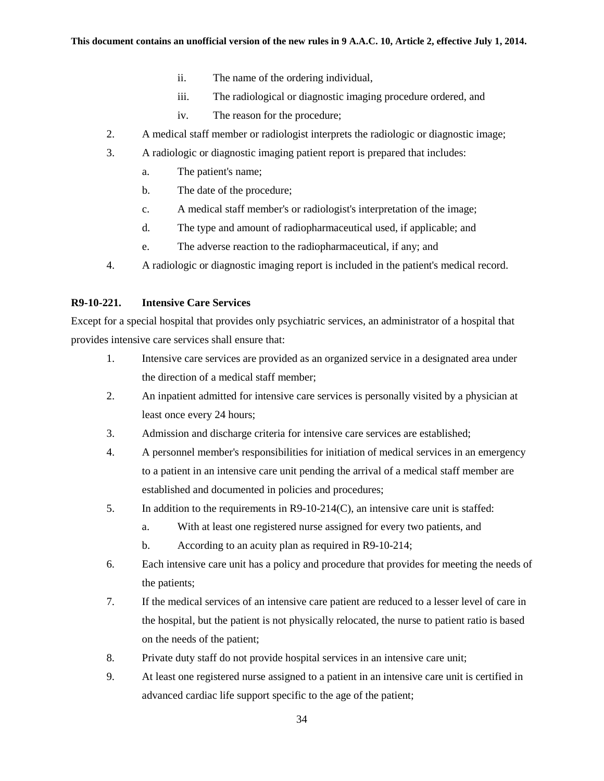- ii. The name of the ordering individual,
- iii. The radiological or diagnostic imaging procedure ordered, and
- iv. The reason for the procedure;
- 2. A medical staff member or radiologist interprets the radiologic or diagnostic image;
- 3. A radiologic or diagnostic imaging patient report is prepared that includes:
	- a. The patient's name;
	- b. The date of the procedure;
	- c. A medical staff member's or radiologist's interpretation of the image;
	- d. The type and amount of radiopharmaceutical used, if applicable; and
	- e. The adverse reaction to the radiopharmaceutical, if any; and
- 4. A radiologic or diagnostic imaging report is included in the patient's medical record.

### **R9-10-221. Intensive Care Services**

Except for a special hospital that provides only psychiatric services, an administrator of a hospital that provides intensive care services shall ensure that:

- 1. Intensive care services are provided as an organized service in a designated area under the direction of a medical staff member;
- 2. An inpatient admitted for intensive care services is personally visited by a physician at least once every 24 hours;
- 3. Admission and discharge criteria for intensive care services are established;
- 4. A personnel member's responsibilities for initiation of medical services in an emergency to a patient in an intensive care unit pending the arrival of a medical staff member are established and documented in policies and procedures;
- 5. In addition to the requirements in R9-10-214(C), an intensive care unit is staffed:
	- a. With at least one registered nurse assigned for every two patients, and
	- b. According to an acuity plan as required in R9-10-214;
- 6. Each intensive care unit has a policy and procedure that provides for meeting the needs of the patients;
- 7. If the medical services of an intensive care patient are reduced to a lesser level of care in the hospital, but the patient is not physically relocated, the nurse to patient ratio is based on the needs of the patient;
- 8. Private duty staff do not provide hospital services in an intensive care unit;
- 9. At least one registered nurse assigned to a patient in an intensive care unit is certified in advanced cardiac life support specific to the age of the patient;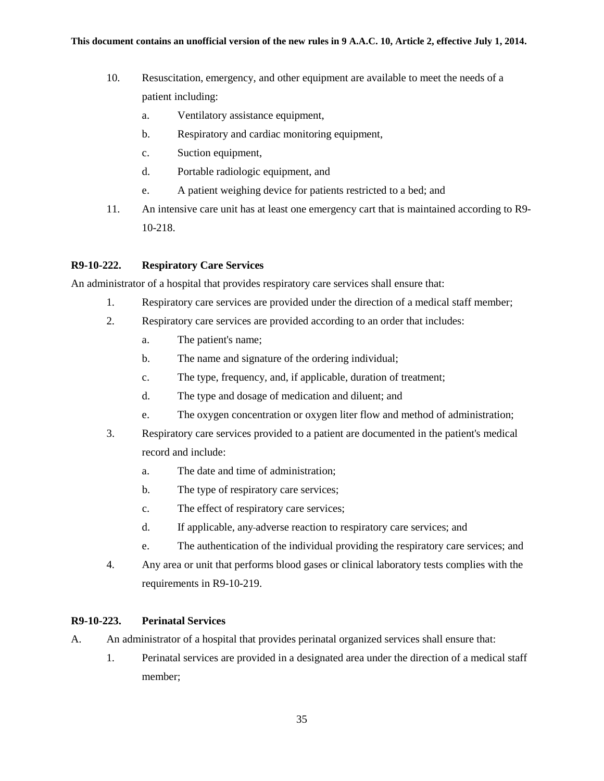- 10. Resuscitation, emergency, and other equipment are available to meet the needs of a patient including:
	- a. Ventilatory assistance equipment,
	- b. Respiratory and cardiac monitoring equipment,
	- c. Suction equipment,
	- d. Portable radiologic equipment, and
	- e. A patient weighing device for patients restricted to a bed; and
- 11. An intensive care unit has at least one emergency cart that is maintained according to R9- 10-218.

### **R9-10-222. Respiratory Care Services**

An administrator of a hospital that provides respiratory care services shall ensure that:

- 1. Respiratory care services are provided under the direction of a medical staff member;
- 2. Respiratory care services are provided according to an order that includes:
	- a. The patient's name;
	- b. The name and signature of the ordering individual;
	- c. The type, frequency, and, if applicable, duration of treatment;
	- d. The type and dosage of medication and diluent; and
	- e. The oxygen concentration or oxygen liter flow and method of administration;
- 3. Respiratory care services provided to a patient are documented in the patient's medical record and include:
	- a. The date and time of administration;
	- b. The type of respiratory care services;
	- c. The effect of respiratory care services;
	- d. If applicable, any adverse reaction to respiratory care services; and
	- e. The authentication of the individual providing the respiratory care services; and
- 4. Any area or unit that performs blood gases or clinical laboratory tests complies with the requirements in R9-10-219.

### **R9-10-223. Perinatal Services**

- A. An administrator of a hospital that provides perinatal organized services shall ensure that:
	- 1. Perinatal services are provided in a designated area under the direction of a medical staff member;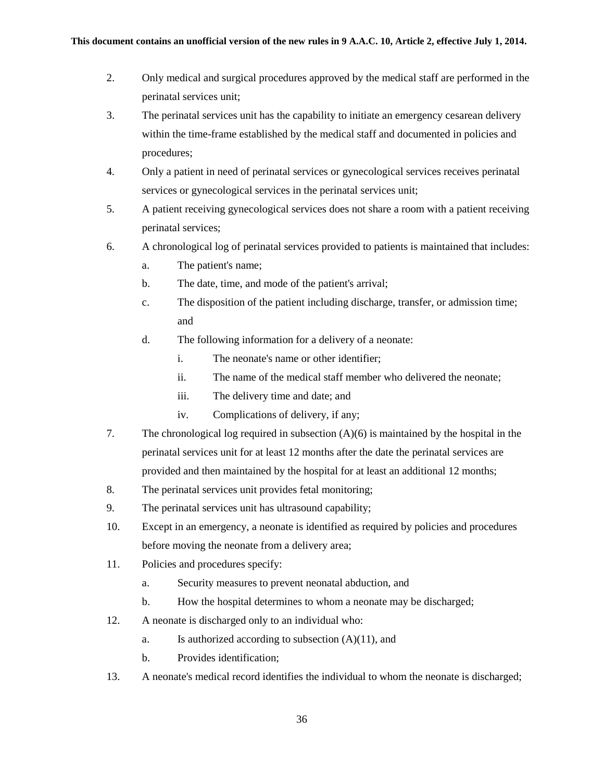- 2. Only medical and surgical procedures approved by the medical staff are performed in the perinatal services unit;
- 3. The perinatal services unit has the capability to initiate an emergency cesarean delivery within the time-frame established by the medical staff and documented in policies and procedures;
- 4. Only a patient in need of perinatal services or gynecological services receives perinatal services or gynecological services in the perinatal services unit;
- 5. A patient receiving gynecological services does not share a room with a patient receiving perinatal services;
- 6. A chronological log of perinatal services provided to patients is maintained that includes:
	- a. The patient's name;
	- b. The date, time, and mode of the patient's arrival;
	- c. The disposition of the patient including discharge, transfer, or admission time; and
	- d. The following information for a delivery of a neonate:
		- i. The neonate's name or other identifier;
		- ii. The name of the medical staff member who delivered the neonate;
		- iii. The delivery time and date; and
		- iv. Complications of delivery, if any;
- 7. The chronological log required in subsection (A)(6) is maintained by the hospital in the perinatal services unit for at least 12 months after the date the perinatal services are provided and then maintained by the hospital for at least an additional 12 months;
- 8. The perinatal services unit provides fetal monitoring;
- 9. The perinatal services unit has ultrasound capability;
- 10. Except in an emergency, a neonate is identified as required by policies and procedures before moving the neonate from a delivery area;
- 11. Policies and procedures specify:
	- a. Security measures to prevent neonatal abduction, and
	- b. How the hospital determines to whom a neonate may be discharged;
- 12. A neonate is discharged only to an individual who:
	- a. Is authorized according to subsection  $(A)(11)$ , and
	- b. Provides identification;
- 13. A neonate's medical record identifies the individual to whom the neonate is discharged;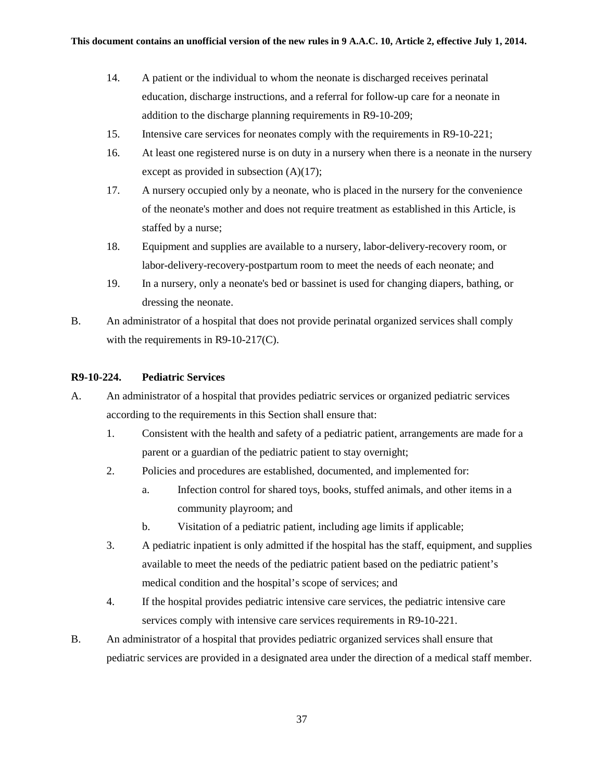- 14. A patient or the individual to whom the neonate is discharged receives perinatal education, discharge instructions, and a referral for follow-up care for a neonate in addition to the discharge planning requirements in R9-10-209;
- 15. Intensive care services for neonates comply with the requirements in R9-10-221;
- 16. At least one registered nurse is on duty in a nursery when there is a neonate in the nursery except as provided in subsection (A)(17);
- 17. A nursery occupied only by a neonate, who is placed in the nursery for the convenience of the neonate's mother and does not require treatment as established in this Article, is staffed by a nurse;
- 18. Equipment and supplies are available to a nursery, labor-delivery-recovery room, or labor-delivery-recovery-postpartum room to meet the needs of each neonate; and
- 19. In a nursery, only a neonate's bed or bassinet is used for changing diapers, bathing, or dressing the neonate.
- B. An administrator of a hospital that does not provide perinatal organized services shall comply with the requirements in R9-10-217(C).

## **R9-10-224. Pediatric Services**

- A. An administrator of a hospital that provides pediatric services or organized pediatric services according to the requirements in this Section shall ensure that:
	- 1. Consistent with the health and safety of a pediatric patient, arrangements are made for a parent or a guardian of the pediatric patient to stay overnight;
	- 2. Policies and procedures are established, documented, and implemented for:
		- a. Infection control for shared toys, books, stuffed animals, and other items in a community playroom; and
		- b. Visitation of a pediatric patient, including age limits if applicable;
	- 3. A pediatric inpatient is only admitted if the hospital has the staff, equipment, and supplies available to meet the needs of the pediatric patient based on the pediatric patient's medical condition and the hospital's scope of services; and
	- 4. If the hospital provides pediatric intensive care services, the pediatric intensive care services comply with intensive care services requirements in R9-10-221.
- B. An administrator of a hospital that provides pediatric organized services shall ensure that pediatric services are provided in a designated area under the direction of a medical staff member.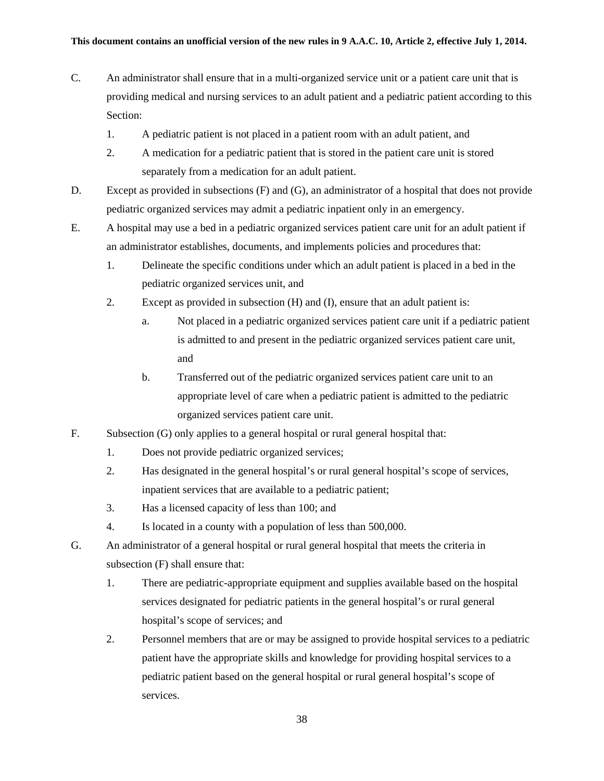- C. An administrator shall ensure that in a multi-organized service unit or a patient care unit that is providing medical and nursing services to an adult patient and a pediatric patient according to this Section:
	- 1. A pediatric patient is not placed in a patient room with an adult patient, and
	- 2. A medication for a pediatric patient that is stored in the patient care unit is stored separately from a medication for an adult patient.
- D. Except as provided in subsections (F) and (G), an administrator of a hospital that does not provide pediatric organized services may admit a pediatric inpatient only in an emergency.
- E. A hospital may use a bed in a pediatric organized services patient care unit for an adult patient if an administrator establishes, documents, and implements policies and procedures that:
	- 1. Delineate the specific conditions under which an adult patient is placed in a bed in the pediatric organized services unit, and
	- 2. Except as provided in subsection (H) and (I), ensure that an adult patient is:
		- a. Not placed in a pediatric organized services patient care unit if a pediatric patient is admitted to and present in the pediatric organized services patient care unit, and
		- b. Transferred out of the pediatric organized services patient care unit to an appropriate level of care when a pediatric patient is admitted to the pediatric organized services patient care unit.
- F. Subsection (G) only applies to a general hospital or rural general hospital that:
	- 1. Does not provide pediatric organized services;
	- 2. Has designated in the general hospital's or rural general hospital's scope of services, inpatient services that are available to a pediatric patient;
	- 3. Has a licensed capacity of less than 100; and
	- 4. Is located in a county with a population of less than 500,000.
- G. An administrator of a general hospital or rural general hospital that meets the criteria in subsection (F) shall ensure that:
	- 1. There are pediatric-appropriate equipment and supplies available based on the hospital services designated for pediatric patients in the general hospital's or rural general hospital's scope of services; and
	- 2. Personnel members that are or may be assigned to provide hospital services to a pediatric patient have the appropriate skills and knowledge for providing hospital services to a pediatric patient based on the general hospital or rural general hospital's scope of services.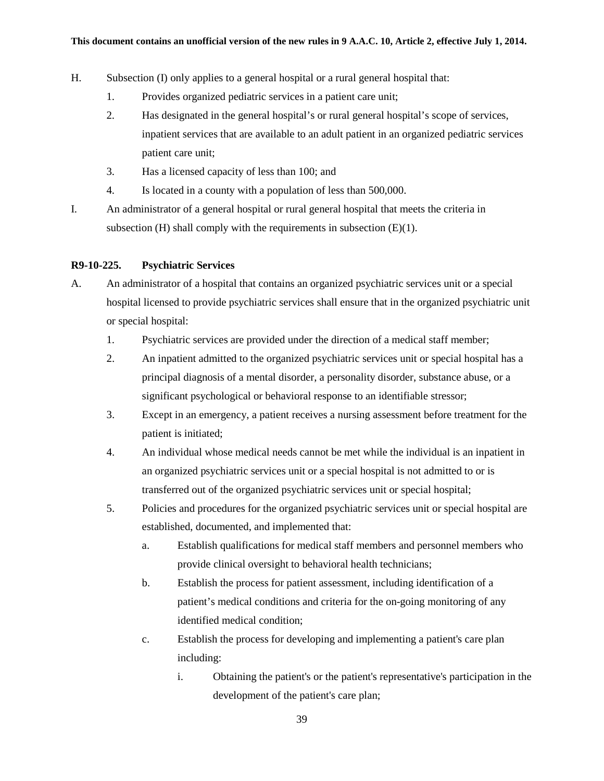- H. Subsection (I) only applies to a general hospital or a rural general hospital that:
	- 1. Provides organized pediatric services in a patient care unit;
	- 2. Has designated in the general hospital's or rural general hospital's scope of services, inpatient services that are available to an adult patient in an organized pediatric services patient care unit;
	- 3. Has a licensed capacity of less than 100; and
	- 4. Is located in a county with a population of less than 500,000.
- I. An administrator of a general hospital or rural general hospital that meets the criteria in subsection (H) shall comply with the requirements in subsection (E)(1).

### **R9-10-225. Psychiatric Services**

- A. An administrator of a hospital that contains an organized psychiatric services unit or a special hospital licensed to provide psychiatric services shall ensure that in the organized psychiatric unit or special hospital:
	- 1. Psychiatric services are provided under the direction of a medical staff member;
	- 2. An inpatient admitted to the organized psychiatric services unit or special hospital has a principal diagnosis of a mental disorder, a personality disorder, substance abuse, or a significant psychological or behavioral response to an identifiable stressor;
	- 3. Except in an emergency, a patient receives a nursing assessment before treatment for the patient is initiated;
	- 4. An individual whose medical needs cannot be met while the individual is an inpatient in an organized psychiatric services unit or a special hospital is not admitted to or is transferred out of the organized psychiatric services unit or special hospital;
	- 5. Policies and procedures for the organized psychiatric services unit or special hospital are established, documented, and implemented that:
		- a. Establish qualifications for medical staff members and personnel members who provide clinical oversight to behavioral health technicians;
		- b. Establish the process for patient assessment, including identification of a patient's medical conditions and criteria for the on-going monitoring of any identified medical condition;
		- c. Establish the process for developing and implementing a patient's care plan including:
			- i. Obtaining the patient's or the patient's representative's participation in the development of the patient's care plan;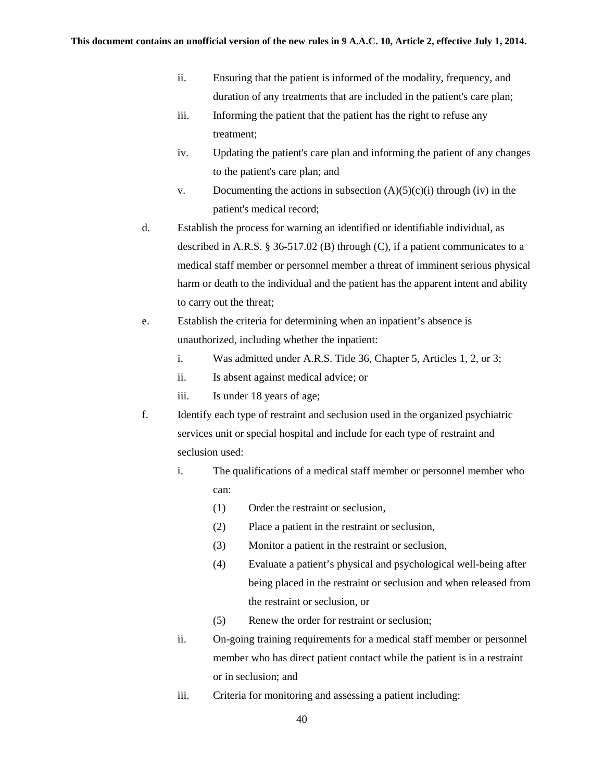- ii. Ensuring that the patient is informed of the modality, frequency, and duration of any treatments that are included in the patient's care plan;
- iii. Informing the patient that the patient has the right to refuse any treatment;
- iv. Updating the patient's care plan and informing the patient of any changes to the patient's care plan; and
- v. Documenting the actions in subsection  $(A)(5)(c)(i)$  through (iv) in the patient's medical record;
- d. Establish the process for warning an identified or identifiable individual, as described in A.R.S. § 36-517.02 (B) through (C), if a patient communicates to a medical staff member or personnel member a threat of imminent serious physical harm or death to the individual and the patient has the apparent intent and ability to carry out the threat;
- e. Establish the criteria for determining when an inpatient's absence is unauthorized, including whether the inpatient:
	- i. Was admitted under A.R.S. Title 36, Chapter 5, Articles 1, 2, or 3;
	- ii. Is absent against medical advice; or
	- iii. Is under 18 years of age;
- f. Identify each type of restraint and seclusion used in the organized psychiatric services unit or special hospital and include for each type of restraint and seclusion used:
	- i. The qualifications of a medical staff member or personnel member who can:
		- (1) Order the restraint or seclusion,
		- (2) Place a patient in the restraint or seclusion,
		- (3) Monitor a patient in the restraint or seclusion,
		- (4) Evaluate a patient's physical and psychological well-being after being placed in the restraint or seclusion and when released from the restraint or seclusion, or
		- (5) Renew the order for restraint or seclusion;
	- ii. On-going training requirements for a medical staff member or personnel member who has direct patient contact while the patient is in a restraint or in seclusion; and
	- iii. Criteria for monitoring and assessing a patient including: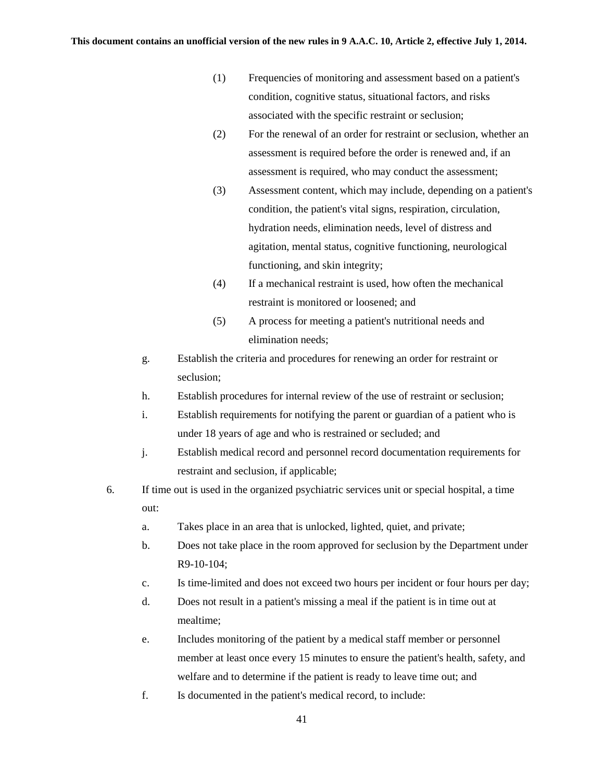- (1) Frequencies of monitoring and assessment based on a patient's condition, cognitive status, situational factors, and risks associated with the specific restraint or seclusion;
- (2) For the renewal of an order for restraint or seclusion, whether an assessment is required before the order is renewed and, if an assessment is required, who may conduct the assessment;
- (3) Assessment content, which may include, depending on a patient's condition, the patient's vital signs, respiration, circulation, hydration needs, elimination needs, level of distress and agitation, mental status, cognitive functioning, neurological functioning, and skin integrity;
- (4) If a mechanical restraint is used, how often the mechanical restraint is monitored or loosened; and
- (5) A process for meeting a patient's nutritional needs and elimination needs;
- g. Establish the criteria and procedures for renewing an order for restraint or seclusion;
- h. Establish procedures for internal review of the use of restraint or seclusion;
- i. Establish requirements for notifying the parent or guardian of a patient who is under 18 years of age and who is restrained or secluded; and
- j. Establish medical record and personnel record documentation requirements for restraint and seclusion, if applicable;
- 6. If time out is used in the organized psychiatric services unit or special hospital, a time out:
	- a. Takes place in an area that is unlocked, lighted, quiet, and private;
	- b. Does not take place in the room approved for seclusion by the Department under R9-10-104;
	- c. Is time-limited and does not exceed two hours per incident or four hours per day;
	- d. Does not result in a patient's missing a meal if the patient is in time out at mealtime;
	- e. Includes monitoring of the patient by a medical staff member or personnel member at least once every 15 minutes to ensure the patient's health, safety, and welfare and to determine if the patient is ready to leave time out; and
	- f. Is documented in the patient's medical record, to include: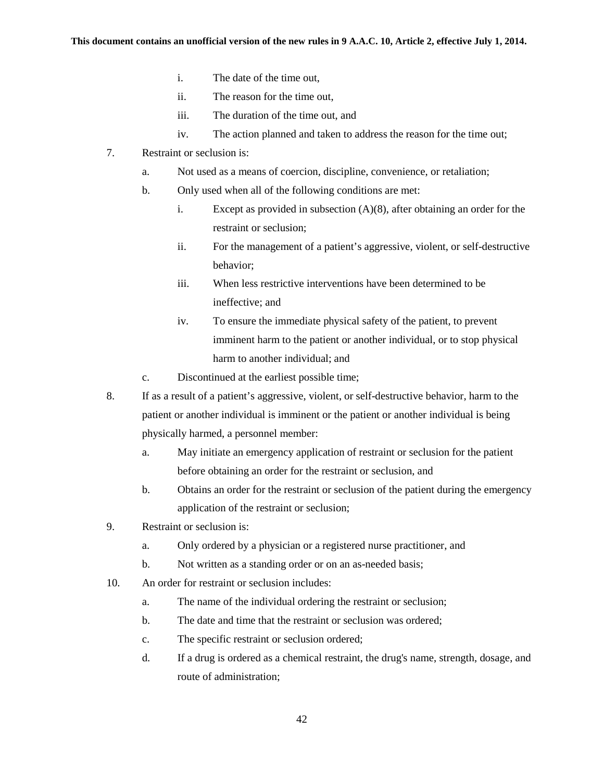- i. The date of the time out,
- ii. The reason for the time out,
- iii. The duration of the time out, and
- iv. The action planned and taken to address the reason for the time out;
- 7. Restraint or seclusion is:
	- a. Not used as a means of coercion, discipline, convenience, or retaliation;
	- b. Only used when all of the following conditions are met:
		- i. Except as provided in subsection (A)(8), after obtaining an order for the restraint or seclusion;
		- ii. For the management of a patient's aggressive, violent, or self-destructive behavior;
		- iii. When less restrictive interventions have been determined to be ineffective; and
		- iv. To ensure the immediate physical safety of the patient, to prevent imminent harm to the patient or another individual, or to stop physical harm to another individual; and
	- c. Discontinued at the earliest possible time;
- 8. If as a result of a patient's aggressive, violent, or self-destructive behavior, harm to the patient or another individual is imminent or the patient or another individual is being physically harmed, a personnel member:
	- a. May initiate an emergency application of restraint or seclusion for the patient before obtaining an order for the restraint or seclusion, and
	- b. Obtains an order for the restraint or seclusion of the patient during the emergency application of the restraint or seclusion;
- 9. Restraint or seclusion is:
	- a. Only ordered by a physician or a registered nurse practitioner, and
	- b. Not written as a standing order or on an as-needed basis;
- 10. An order for restraint or seclusion includes:
	- a. The name of the individual ordering the restraint or seclusion;
	- b. The date and time that the restraint or seclusion was ordered;
	- c. The specific restraint or seclusion ordered;
	- d. If a drug is ordered as a chemical restraint, the drug's name, strength, dosage, and route of administration;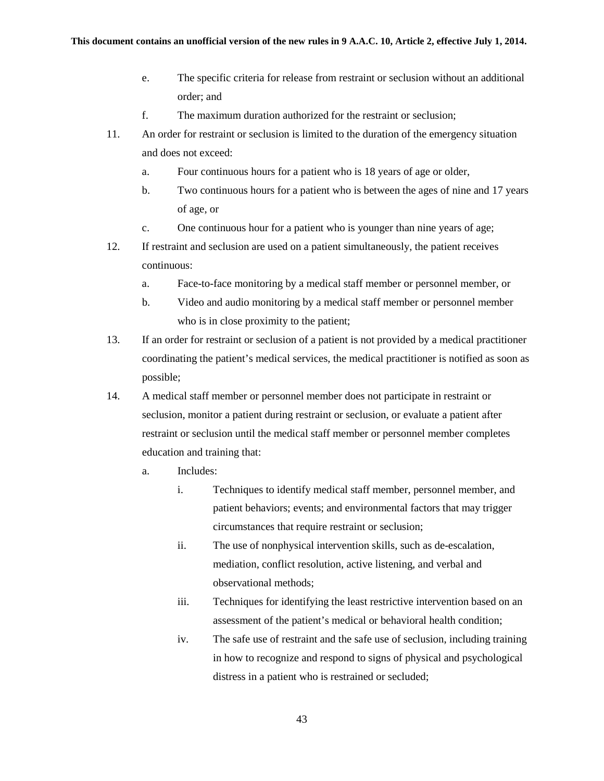- e. The specific criteria for release from restraint or seclusion without an additional order; and
- f. The maximum duration authorized for the restraint or seclusion;
- 11. An order for restraint or seclusion is limited to the duration of the emergency situation and does not exceed:
	- a. Four continuous hours for a patient who is 18 years of age or older,
	- b. Two continuous hours for a patient who is between the ages of nine and 17 years of age, or
	- c. One continuous hour for a patient who is younger than nine years of age;
- 12. If restraint and seclusion are used on a patient simultaneously, the patient receives continuous:
	- a. Face-to-face monitoring by a medical staff member or personnel member, or
	- b. Video and audio monitoring by a medical staff member or personnel member who is in close proximity to the patient;
- 13. If an order for restraint or seclusion of a patient is not provided by a medical practitioner coordinating the patient's medical services, the medical practitioner is notified as soon as possible;
- 14. A medical staff member or personnel member does not participate in restraint or seclusion, monitor a patient during restraint or seclusion, or evaluate a patient after restraint or seclusion until the medical staff member or personnel member completes education and training that:
	- a. Includes:
		- i. Techniques to identify medical staff member, personnel member, and patient behaviors; events; and environmental factors that may trigger circumstances that require restraint or seclusion;
		- ii. The use of nonphysical intervention skills, such as de-escalation, mediation, conflict resolution, active listening, and verbal and observational methods;
		- iii. Techniques for identifying the least restrictive intervention based on an assessment of the patient's medical or behavioral health condition;
		- iv. The safe use of restraint and the safe use of seclusion, including training in how to recognize and respond to signs of physical and psychological distress in a patient who is restrained or secluded;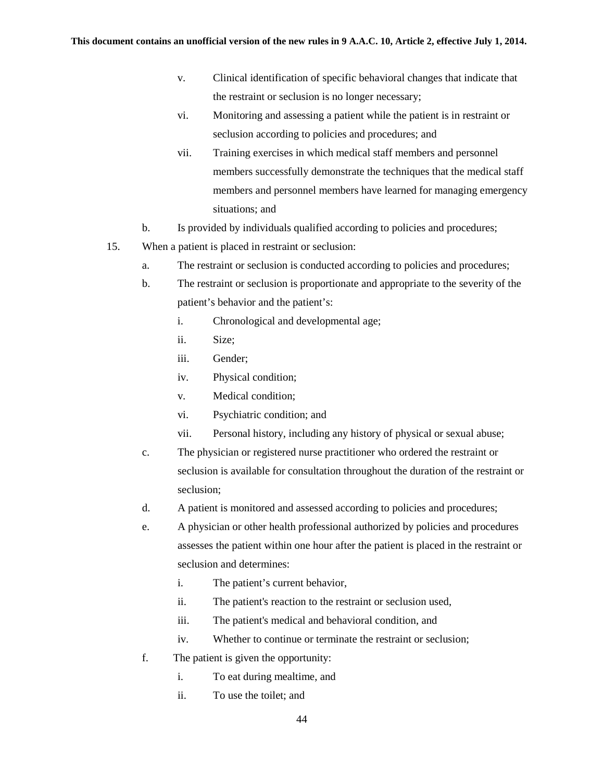- v. Clinical identification of specific behavioral changes that indicate that the restraint or seclusion is no longer necessary;
- vi. Monitoring and assessing a patient while the patient is in restraint or seclusion according to policies and procedures; and
- vii. Training exercises in which medical staff members and personnel members successfully demonstrate the techniques that the medical staff members and personnel members have learned for managing emergency situations; and
- b. Is provided by individuals qualified according to policies and procedures;
- 15. When a patient is placed in restraint or seclusion:
	- a. The restraint or seclusion is conducted according to policies and procedures;
	- b. The restraint or seclusion is proportionate and appropriate to the severity of the patient's behavior and the patient's:
		- i. Chronological and developmental age;
		- ii. Size;
		- iii. Gender;
		- iv. Physical condition;
		- v. Medical condition;
		- vi. Psychiatric condition; and
		- vii. Personal history, including any history of physical or sexual abuse;
	- c. The physician or registered nurse practitioner who ordered the restraint or seclusion is available for consultation throughout the duration of the restraint or seclusion;
	- d. A patient is monitored and assessed according to policies and procedures;
	- e. A physician or other health professional authorized by policies and procedures assesses the patient within one hour after the patient is placed in the restraint or seclusion and determines:
		- i. The patient's current behavior,
		- ii. The patient's reaction to the restraint or seclusion used,
		- iii. The patient's medical and behavioral condition, and
		- iv. Whether to continue or terminate the restraint or seclusion;
	- f. The patient is given the opportunity:
		- i. To eat during mealtime, and
		- ii. To use the toilet; and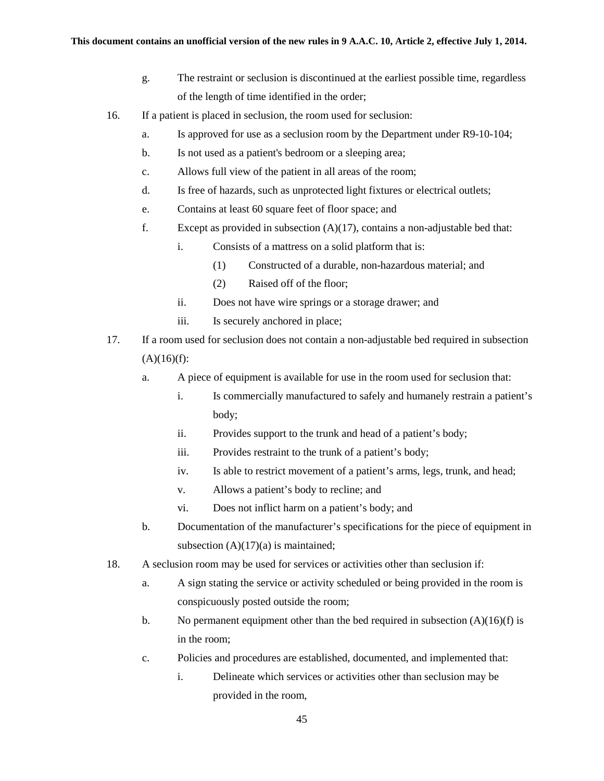- g. The restraint or seclusion is discontinued at the earliest possible time, regardless of the length of time identified in the order;
- 16. If a patient is placed in seclusion, the room used for seclusion:
	- a. Is approved for use as a seclusion room by the Department under R9-10-104;
	- b. Is not used as a patient's bedroom or a sleeping area;
	- c. Allows full view of the patient in all areas of the room;
	- d. Is free of hazards, such as unprotected light fixtures or electrical outlets;
	- e. Contains at least 60 square feet of floor space; and
	- f. Except as provided in subsection (A)(17), contains a non-adjustable bed that:
		- i. Consists of a mattress on a solid platform that is:
			- (1) Constructed of a durable, non-hazardous material; and
			- (2) Raised off of the floor;
		- ii. Does not have wire springs or a storage drawer; and
		- iii. Is securely anchored in place;
- 17. If a room used for seclusion does not contain a non-adjustable bed required in subsection  $(A)(16)(f)$ :
	- a. A piece of equipment is available for use in the room used for seclusion that:
		- i. Is commercially manufactured to safely and humanely restrain a patient's body;
		- ii. Provides support to the trunk and head of a patient's body;
		- iii. Provides restraint to the trunk of a patient's body;
		- iv. Is able to restrict movement of a patient's arms, legs, trunk, and head;
		- v. Allows a patient's body to recline; and
		- vi. Does not inflict harm on a patient's body; and
	- b. Documentation of the manufacturer's specifications for the piece of equipment in subsection  $(A)(17)(a)$  is maintained;
- 18. A seclusion room may be used for services or activities other than seclusion if:
	- a. A sign stating the service or activity scheduled or being provided in the room is conspicuously posted outside the room;
	- b. No permanent equipment other than the bed required in subsection  $(A)(16)(f)$  is in the room;
	- c. Policies and procedures are established, documented, and implemented that:
		- i. Delineate which services or activities other than seclusion may be provided in the room,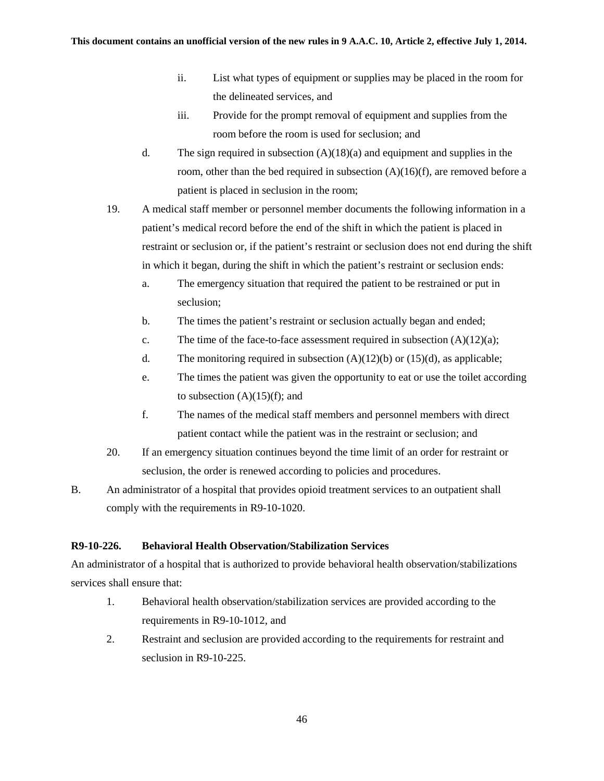- ii. List what types of equipment or supplies may be placed in the room for the delineated services, and
- iii. Provide for the prompt removal of equipment and supplies from the room before the room is used for seclusion; and
- d. The sign required in subsection  $(A)(18)(a)$  and equipment and supplies in the room, other than the bed required in subsection  $(A)(16)(f)$ , are removed before a patient is placed in seclusion in the room;
- 19. A medical staff member or personnel member documents the following information in a patient's medical record before the end of the shift in which the patient is placed in restraint or seclusion or, if the patient's restraint or seclusion does not end during the shift in which it began, during the shift in which the patient's restraint or seclusion ends:
	- a. The emergency situation that required the patient to be restrained or put in seclusion;
	- b. The times the patient's restraint or seclusion actually began and ended;
	- c. The time of the face-to-face assessment required in subsection  $(A)(12)(a)$ ;
	- d. The monitoring required in subsection  $(A)(12)(b)$  or  $(15)(d)$ , as applicable;
	- e. The times the patient was given the opportunity to eat or use the toilet according to subsection  $(A)(15)(f)$ ; and
	- f. The names of the medical staff members and personnel members with direct patient contact while the patient was in the restraint or seclusion; and
- 20. If an emergency situation continues beyond the time limit of an order for restraint or seclusion, the order is renewed according to policies and procedures.
- B. An administrator of a hospital that provides opioid treatment services to an outpatient shall comply with the requirements in R9-10-1020.

# **R9-10-226. Behavioral Health Observation/Stabilization Services**

An administrator of a hospital that is authorized to provide behavioral health observation/stabilizations services shall ensure that:

- 1. Behavioral health observation/stabilization services are provided according to the requirements in R9-10-1012, and
- 2. Restraint and seclusion are provided according to the requirements for restraint and seclusion in R9-10-225.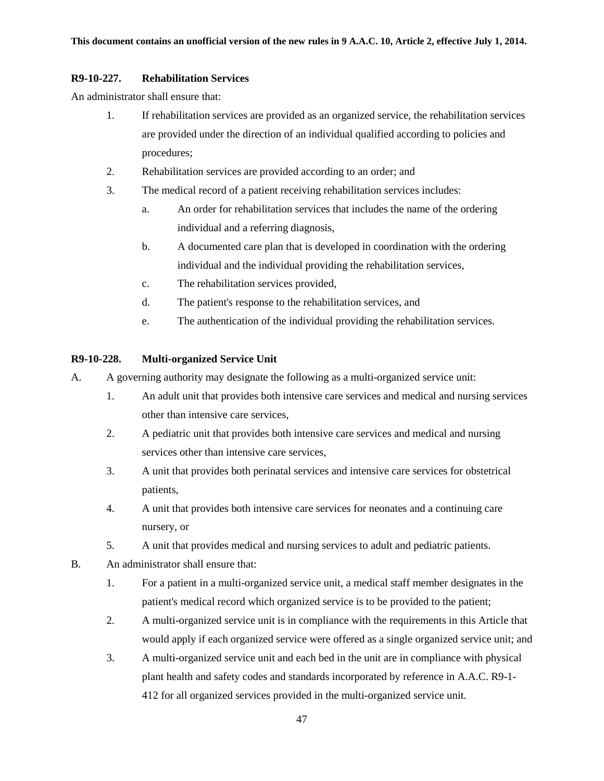## **R9-10-227. Rehabilitation Services**

An administrator shall ensure that:

- 1. If rehabilitation services are provided as an organized service, the rehabilitation services are provided under the direction of an individual qualified according to policies and procedures;
- 2. Rehabilitation services are provided according to an order; and
- 3. The medical record of a patient receiving rehabilitation services includes:
	- a. An order for rehabilitation services that includes the name of the ordering individual and a referring diagnosis,
	- b. A documented care plan that is developed in coordination with the ordering individual and the individual providing the rehabilitation services,
	- c. The rehabilitation services provided,
	- d. The patient's response to the rehabilitation services, and
	- e. The authentication of the individual providing the rehabilitation services.

# **R9-10-228. Multi-organized Service Unit**

- A. A governing authority may designate the following as a multi-organized service unit:
	- 1. An adult unit that provides both intensive care services and medical and nursing services other than intensive care services,
	- 2. A pediatric unit that provides both intensive care services and medical and nursing services other than intensive care services,
	- 3. A unit that provides both perinatal services and intensive care services for obstetrical patients,
	- 4. A unit that provides both intensive care services for neonates and a continuing care nursery, or
	- 5. A unit that provides medical and nursing services to adult and pediatric patients.
- B. An administrator shall ensure that:
	- 1. For a patient in a multi-organized service unit, a medical staff member designates in the patient's medical record which organized service is to be provided to the patient;
	- 2. A multi-organized service unit is in compliance with the requirements in this Article that would apply if each organized service were offered as a single organized service unit; and
	- 3. A multi-organized service unit and each bed in the unit are in compliance with physical plant health and safety codes and standards incorporated by reference in A.A.C. R9-1- 412 for all organized services provided in the multi-organized service unit.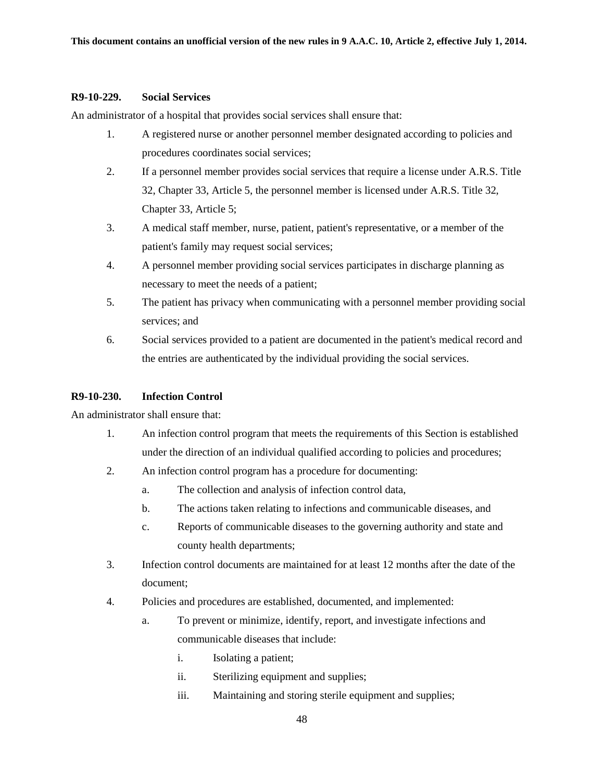#### **R9-10-229. Social Services**

An administrator of a hospital that provides social services shall ensure that:

- 1. A registered nurse or another personnel member designated according to policies and procedures coordinates social services;
- 2. If a personnel member provides social services that require a license under A.R.S. Title 32, Chapter 33, Article 5, the personnel member is licensed under A.R.S. Title 32, Chapter 33, Article 5;
- 3. A medical staff member, nurse, patient, patient's representative, or a member of the patient's family may request social services;
- 4. A personnel member providing social services participates in discharge planning as necessary to meet the needs of a patient;
- 5. The patient has privacy when communicating with a personnel member providing social services; and
- 6. Social services provided to a patient are documented in the patient's medical record and the entries are authenticated by the individual providing the social services.

### **R9-10-230. Infection Control**

An administrator shall ensure that:

- 1. An infection control program that meets the requirements of this Section is established under the direction of an individual qualified according to policies and procedures;
- 2. An infection control program has a procedure for documenting:
	- a. The collection and analysis of infection control data,
	- b. The actions taken relating to infections and communicable diseases, and
	- c. Reports of communicable diseases to the governing authority and state and county health departments;
- 3. Infection control documents are maintained for at least 12 months after the date of the document;
- 4. Policies and procedures are established, documented, and implemented:
	- a. To prevent or minimize, identify, report, and investigate infections and communicable diseases that include:
		- i. Isolating a patient;
		- ii. Sterilizing equipment and supplies;
		- iii. Maintaining and storing sterile equipment and supplies;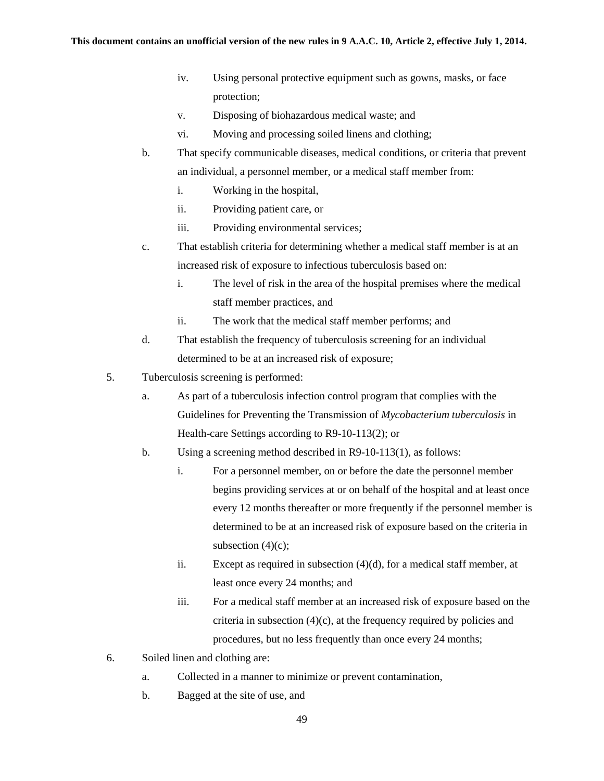- iv. Using personal protective equipment such as gowns, masks, or face protection;
- v. Disposing of biohazardous medical waste; and
- vi. Moving and processing soiled linens and clothing;
- b. That specify communicable diseases, medical conditions, or criteria that prevent an individual, a personnel member, or a medical staff member from:
	- i. Working in the hospital,
	- ii. Providing patient care, or
	- iii. Providing environmental services;
- c. That establish criteria for determining whether a medical staff member is at an increased risk of exposure to infectious tuberculosis based on:
	- i. The level of risk in the area of the hospital premises where the medical staff member practices, and
	- ii. The work that the medical staff member performs; and
- d. That establish the frequency of tuberculosis screening for an individual determined to be at an increased risk of exposure;
- 5. Tuberculosis screening is performed:
	- a. As part of a tuberculosis infection control program that complies with the Guidelines for Preventing the Transmission of *Mycobacterium tuberculosis* in Health-care Settings according to R9-10-113(2); or
	- b. Using a screening method described in R9-10-113(1), as follows:
		- i. For a personnel member, on or before the date the personnel member begins providing services at or on behalf of the hospital and at least once every 12 months thereafter or more frequently if the personnel member is determined to be at an increased risk of exposure based on the criteria in subsection  $(4)(c)$ ;
		- ii. Except as required in subsection (4)(d), for a medical staff member, at least once every 24 months; and
		- iii. For a medical staff member at an increased risk of exposure based on the criteria in subsection  $(4)(c)$ , at the frequency required by policies and procedures, but no less frequently than once every 24 months;
- 6. Soiled linen and clothing are:
	- a. Collected in a manner to minimize or prevent contamination,
	- b. Bagged at the site of use, and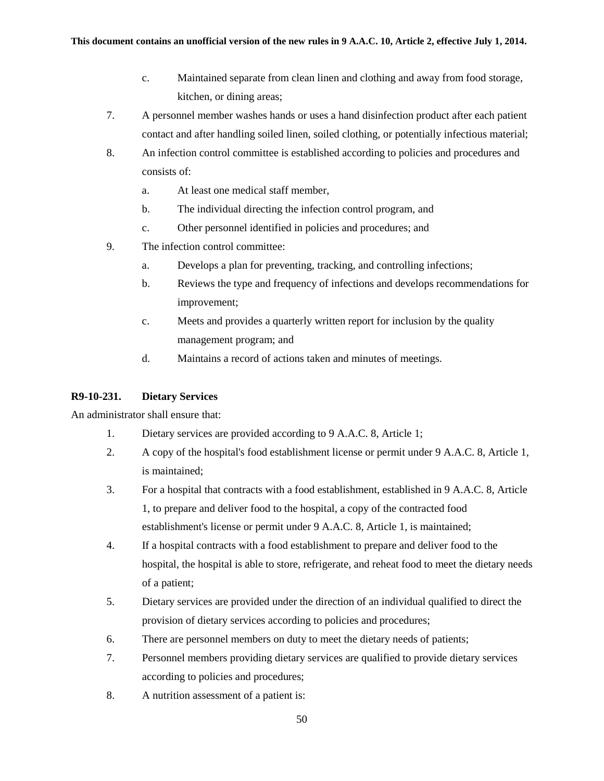- c. Maintained separate from clean linen and clothing and away from food storage, kitchen, or dining areas;
- 7. A personnel member washes hands or uses a hand disinfection product after each patient contact and after handling soiled linen, soiled clothing, or potentially infectious material;
- 8. An infection control committee is established according to policies and procedures and consists of:
	- a. At least one medical staff member,
	- b. The individual directing the infection control program, and
	- c. Other personnel identified in policies and procedures; and
- 9. The infection control committee:
	- a. Develops a plan for preventing, tracking, and controlling infections;
	- b. Reviews the type and frequency of infections and develops recommendations for improvement;
	- c. Meets and provides a quarterly written report for inclusion by the quality management program; and
	- d. Maintains a record of actions taken and minutes of meetings.

## **R9-10-231. Dietary Services**

An administrator shall ensure that:

- 1. Dietary services are provided according to 9 A.A.C. 8, Article 1;
- 2. A copy of the hospital's food establishment license or permit under 9 A.A.C. 8, Article 1, is maintained;
- 3. For a hospital that contracts with a food establishment, established in 9 A.A.C. 8, Article 1, to prepare and deliver food to the hospital, a copy of the contracted food establishment's license or permit under 9 A.A.C. 8, Article 1, is maintained;
- 4. If a hospital contracts with a food establishment to prepare and deliver food to the hospital, the hospital is able to store, refrigerate, and reheat food to meet the dietary needs of a patient;
- 5. Dietary services are provided under the direction of an individual qualified to direct the provision of dietary services according to policies and procedures;
- 6. There are personnel members on duty to meet the dietary needs of patients;
- 7. Personnel members providing dietary services are qualified to provide dietary services according to policies and procedures;
- 8. A nutrition assessment of a patient is: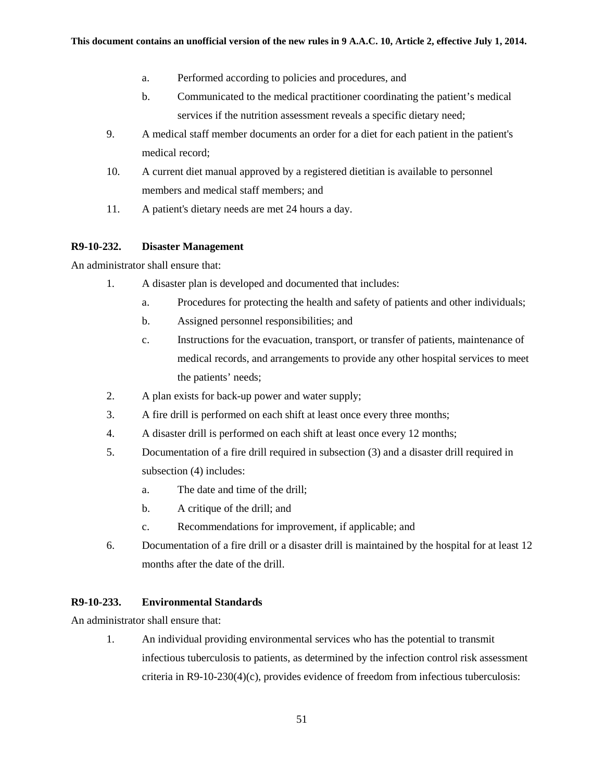- a. Performed according to policies and procedures, and
- b. Communicated to the medical practitioner coordinating the patient's medical services if the nutrition assessment reveals a specific dietary need;
- 9. A medical staff member documents an order for a diet for each patient in the patient's medical record;
- 10. A current diet manual approved by a registered dietitian is available to personnel members and medical staff members; and
- 11. A patient's dietary needs are met 24 hours a day.

### **R9-10-232. Disaster Management**

An administrator shall ensure that:

- 1. A disaster plan is developed and documented that includes:
	- a. Procedures for protecting the health and safety of patients and other individuals;
	- b. Assigned personnel responsibilities; and
	- c. Instructions for the evacuation, transport, or transfer of patients, maintenance of medical records, and arrangements to provide any other hospital services to meet the patients' needs;
- 2. A plan exists for back-up power and water supply;
- 3. A fire drill is performed on each shift at least once every three months;
- 4. A disaster drill is performed on each shift at least once every 12 months;
- 5. Documentation of a fire drill required in subsection (3) and a disaster drill required in subsection (4) includes:
	- a. The date and time of the drill;
	- b. A critique of the drill; and
	- c. Recommendations for improvement, if applicable; and
- 6. Documentation of a fire drill or a disaster drill is maintained by the hospital for at least 12 months after the date of the drill.

### **R9-10-233. Environmental Standards**

An administrator shall ensure that:

1. An individual providing environmental services who has the potential to transmit infectious tuberculosis to patients, as determined by the infection control risk assessment criteria in R9-10-230(4)(c), provides evidence of freedom from infectious tuberculosis: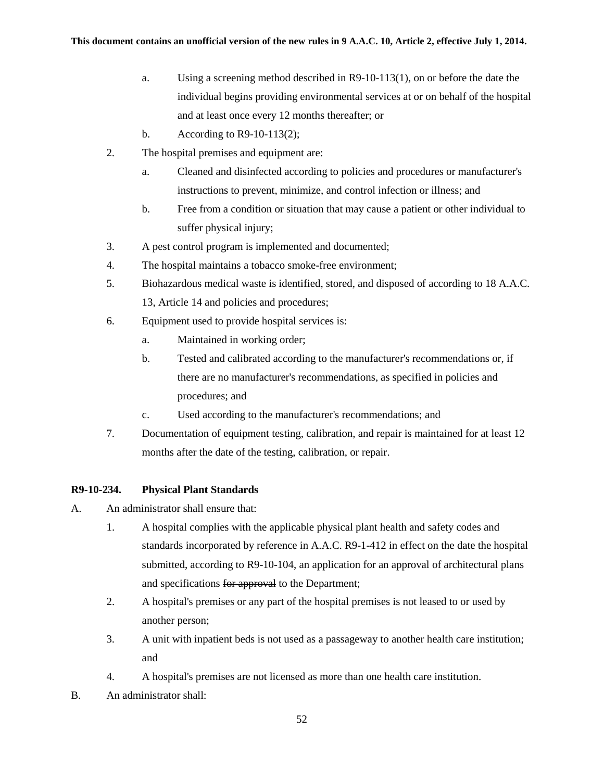- a. Using a screening method described in R9-10-113(1), on or before the date the individual begins providing environmental services at or on behalf of the hospital and at least once every 12 months thereafter; or
- b. According to R9-10-113(2);
- 2. The hospital premises and equipment are:
	- a. Cleaned and disinfected according to policies and procedures or manufacturer's instructions to prevent, minimize, and control infection or illness; and
	- b. Free from a condition or situation that may cause a patient or other individual to suffer physical injury;
- 3. A pest control program is implemented and documented;
- 4. The hospital maintains a tobacco smoke-free environment;
- 5. Biohazardous medical waste is identified, stored, and disposed of according to 18 A.A.C. 13, Article 14 and policies and procedures;
- 6. Equipment used to provide hospital services is:
	- a. Maintained in working order;
	- b. Tested and calibrated according to the manufacturer's recommendations or, if there are no manufacturer's recommendations, as specified in policies and procedures; and
	- c. Used according to the manufacturer's recommendations; and
- 7. Documentation of equipment testing, calibration, and repair is maintained for at least 12 months after the date of the testing, calibration, or repair.

### **R9-10-234. Physical Plant Standards**

- A. An administrator shall ensure that:
	- 1. A hospital complies with the applicable physical plant health and safety codes and standards incorporated by reference in A.A.C. R9-1-412 in effect on the date the hospital submitted, according to R9-10-104, an application for an approval of architectural plans and specifications for approval to the Department;
	- 2. A hospital's premises or any part of the hospital premises is not leased to or used by another person;
	- 3. A unit with inpatient beds is not used as a passageway to another health care institution; and
	- 4. A hospital's premises are not licensed as more than one health care institution.
- B. An administrator shall: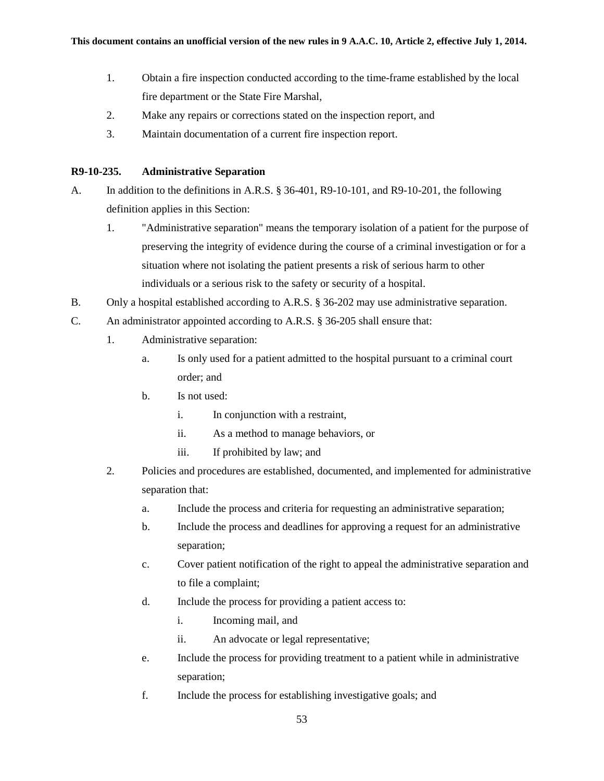- 1. Obtain a fire inspection conducted according to the time-frame established by the local fire department or the State Fire Marshal,
- 2. Make any repairs or corrections stated on the inspection report, and
- 3. Maintain documentation of a current fire inspection report.

### **R9-10-235. Administrative Separation**

- A. In addition to the definitions in A.R.S. § 36-401, R9-10-101, and R9-10-201, the following definition applies in this Section:
	- 1. "Administrative separation" means the temporary isolation of a patient for the purpose of preserving the integrity of evidence during the course of a criminal investigation or for a situation where not isolating the patient presents a risk of serious harm to other individuals or a serious risk to the safety or security of a hospital.
- B. Only a hospital established according to A.R.S. § 36-202 may use administrative separation.
- C. An administrator appointed according to A.R.S. § 36-205 shall ensure that:
	- 1. Administrative separation:
		- a. Is only used for a patient admitted to the hospital pursuant to a criminal court order; and
		- b. Is not used:
			- i. In conjunction with a restraint,
			- ii. As a method to manage behaviors, or
			- iii. If prohibited by law; and
	- 2. Policies and procedures are established, documented, and implemented for administrative separation that:
		- a. Include the process and criteria for requesting an administrative separation;
		- b. Include the process and deadlines for approving a request for an administrative separation;
		- c. Cover patient notification of the right to appeal the administrative separation and to file a complaint;
		- d. Include the process for providing a patient access to:
			- i. Incoming mail, and
			- ii. An advocate or legal representative;
		- e. Include the process for providing treatment to a patient while in administrative separation;
		- f. Include the process for establishing investigative goals; and